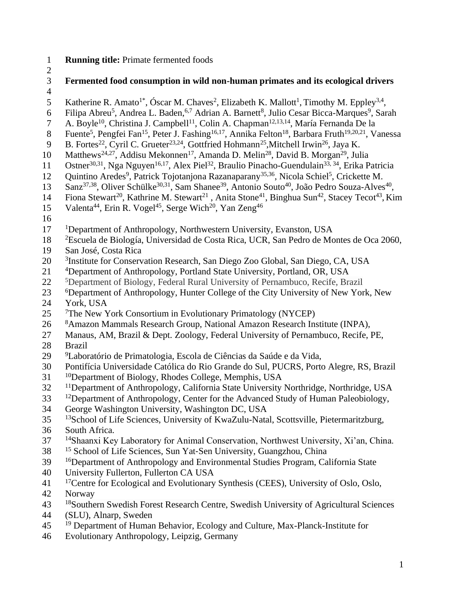- 1 **Running title:** Primate fermented foods
- $\frac{2}{3}$ 
	- 3 **Fermented food consumption in wild non-human primates and its ecological drivers**
- 4
- 5 Katherine R. Amato<sup>1\*</sup>, Óscar M. Chaves<sup>2</sup>, Elizabeth K. Mallott<sup>1</sup>, Timothy M. Eppley<sup>3,4</sup>,
- 6 Filipa Abreu<sup>5</sup>, Andrea L. Baden, <sup>6,7</sup> Adrian A. Barnett<sup>8</sup>, Julio Cesar Bicca-Marques<sup>9</sup>, Sarah
- 7 A. Boyle<sup>10</sup>, Christina J. Campbell<sup>11</sup>, Colin A. Chapman<sup>12,13,14</sup>, María Fernanda De la
- 8 Fuente<sup>5</sup>, Pengfei Fan<sup>15</sup>, Peter J. Fashing<sup>16,17</sup>, Annika Felton<sup>18</sup>, Barbara Fruth<sup>19,20,21</sup>, Vanessa
- 9 B. Fortes<sup>22</sup>, Cyril C. Grueter<sup>23,24</sup>, Gottfried Hohmann<sup>25</sup>, Mitchell Irwin<sup>26</sup>, Jaya K.
- 10 Matthews<sup>24,27</sup>, Addisu Mekonnen<sup>17</sup>, Amanda D. Melin<sup>28</sup>, David B. Morgan<sup>29</sup>, Julia
- 11 Ostner<sup>30,31</sup>, Nga Nguyen<sup>16,17</sup>, Alex Piel<sup>32</sup>, Braulio Pinacho-Guendulain<sup>33, 34</sup>, Erika Patricia
- 12 Quintino Aredes<sup>9</sup>, Patrick Tojotanjona Razanaparany<sup>35,36</sup>, Nicola Schiel<sup>5</sup>, Crickette M.
- 13 Sanz<sup>37,38</sup>, Oliver Schülke<sup>30,31</sup>, Sam Shanee<sup>39</sup>, Antonio Souto<sup>40</sup>, João Pedro Souza-Alves<sup>40</sup>,
- 14 Fiona Stewart<sup>20</sup>, Kathrine M. Stewart<sup>21</sup>, Anita Stone<sup>41</sup>, Binghua Sun<sup>42</sup>, Stacey Tecot<sup>43</sup>, Kim
- 15 Valenta<sup>44</sup>, Erin R. Vogel<sup>45</sup>, Serge Wich<sup>20</sup>, Yan Zeng<sup>46</sup>
- 16
- 17 <sup>1</sup>Department of Anthropology, Northwestern University, Evanston, USA
- <sup>2</sup> 18 Escuela de Biología, Universidad de Costa Rica, UCR, San Pedro de Montes de Oca 2060,
- 19 San José, Costa Rica
- <sup>3</sup> 20 Institute for Conservation Research, San Diego Zoo Global, San Diego, CA, USA
- 21 4Department of Anthropology, Portland State University, Portland, OR, USA
- 22 <sup>5</sup>Department of Biology, Federal Rural University of Pernambuco, Recife, Brazil
- 23 <sup>6</sup>Department of Anthropology, Hunter College of the City University of New York, New
- 24 York, USA
- 25 <sup>7</sup> The New York Consortium in Evolutionary Primatology (NYCEP)
- 26 <sup>8</sup>Amazon Mammals Research Group, National Amazon Research Institute (INPA),
- 27 Manaus, AM, Brazil & Dept. Zoology, Federal University of Pernambuco, Recife, PE,
- 28 Brazil
- <sup>9</sup> 29 Laboratório de Primatologia, Escola de Ciências da Saúde e da Vida,
- 30 Pontifícia Universidade Católica do Rio Grande do Sul, PUCRS, Porto Alegre, RS, Brazil
- 31 <sup>10</sup>Department of Biology, Rhodes College, Memphis, USA
- 32 <sup>11</sup>Department of Anthropology, California State University Northridge, Northridge, USA
- <sup>12</sup>Department of Anthropology, Center for the Advanced Study of Human Paleobiology,
- 34 George Washington University, Washington DC, USA
- <sup>13</sup> 35 <sup>13</sup> School of Life Sciences, University of KwaZulu-Natal, Scottsville, Pietermaritzburg,
- 36 South Africa.
- <sup>14</sup> Shaanxi Key Laboratory for Animal Conservation, Northwest University, Xi'an, China.
- 38 <sup>15</sup> School of Life Sciences, Sun Yat-Sen University, Guangzhou, China
- 39 <sup>16</sup>Department of Anthropology and Environmental Studies Program, California State
- 40 University Fullerton, Fullerton CA USA
- <sup>41</sup> <sup>17</sup>Centre for Ecological and Evolutionary Synthesis (CEES), University of Oslo, Oslo,
- 42 Norway
- <sup>18</sup> Southern Swedish Forest Research Centre, Swedish University of Agricultural Sciences
- 44 (SLU), Alnarp, Sweden
- <sup>19</sup> Department of Human Behavior, Ecology and Culture, Max-Planck-Institute for
- 46 Evolutionary Anthropology, Leipzig, Germany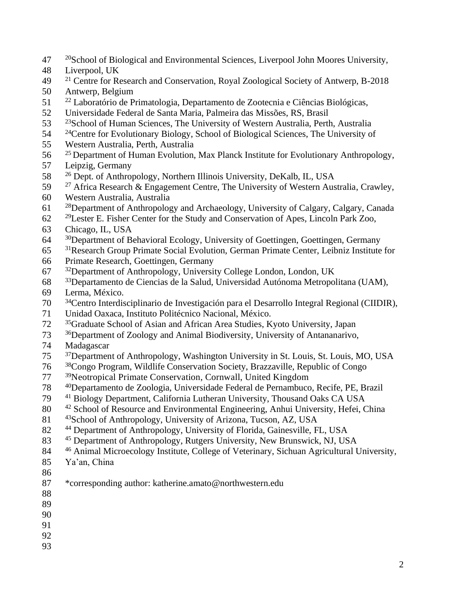- $20^{\circ}$   $20^{\circ}$ School of Biological and Environmental Sciences, Liverpool John Moores University,
- Liverpool, UK
- <sup>21</sup> Centre for Research and Conservation, Royal Zoological Society of Antwerp, B-2018
- Antwerp, Belgium
- <sup>22</sup> Laboratório de Primatologia, Departamento de Zootecnia e Ciências Biológicas,
- Universidade Federal de Santa Maria, Palmeira das Missões, RS, Brasil
- $23 \times 23$  School of Human Sciences. The University of Western Australia, Perth, Australia
- 54 <sup>24</sup>Centre for Evolutionary Biology, School of Biological Sciences, The University of
- Western Australia, Perth, Australia
- <sup>25</sup> Department of Human Evolution, Max Planck Institute for Evolutionary Anthropology,
- Leipzig, Germany
- <sup>26</sup> Dept. of Anthropology, Northern Illinois University, DeKalb, IL, USA
- <sup>27</sup> Africa Research & Engagement Centre, The University of Western Australia, Crawley,
- Western Australia, Australia
- <sup>28</sup>Department of Anthropology and Archaeology, University of Calgary, Calgary, Canada
- <sup>29</sup> Lester E. Fisher Center for the Study and Conservation of Apes, Lincoln Park Zoo,
- Chicago, IL, USA
- <sup>30</sup>Department of Behavioral Ecology, University of Goettingen, Goettingen, Germany
- <sup>31</sup>Research Group Primate Social Evolution, German Primate Center, Leibniz Institute for
- Primate Research, Goettingen, Germany
- <sup>32</sup>Department of Anthropology, University College London, London, UK
- <sup>33</sup>Departamento de Ciencias de la Salud, Universidad Autónoma Metropolitana (UAM),
- Lerma, México.
- <sup>34</sup>Centro Interdisciplinario de Investigación para el Desarrollo Integral Regional (CIIDIR),
- Unidad Oaxaca, Instituto Politécnico Nacional, México.
- <sup>35</sup>Graduate School of Asian and African Area Studies, Kyoto University, Japan
- <sup>36</sup>Department of Zoology and Animal Biodiversity, University of Antananarivo,
- Madagascar
- <sup>37</sup>Department of Anthropology, Washington University in St. Louis, St. Louis, MO, USA
- <sup>38</sup>Congo Program, Wildlife Conservation Society, Brazzaville, Republic of Congo
- <sup>39</sup>Neotropical Primate Conservation, Cornwall, United Kingdom
- <sup>40</sup>Departamento de Zoologia, Universidade Federal de Pernambuco, Recife, PE, Brazil
- <sup>41</sup> Biology Department, California Lutheran University, Thousand Oaks CA USA
- 80 <sup>42</sup> School of Resource and Environmental Engineering, Anhui University, Hefei, China
- 81 <sup>43</sup> School of Anthropology, University of Arizona, Tucson, AZ, USA
- 82 <sup>44</sup> Department of Anthropology, University of Florida, Gainesville, FL, USA
- 83 <sup>45</sup> Department of Anthropology, Rutgers University, New Brunswick, NJ, USA
- 84 <sup>46</sup> Animal Microecology Institute, College of Veterinary, Sichuan Agricultural University,

- Ya'an, China
- 
- \*corresponding author: katherine.amato@northwestern.edu
- 
- 
- 
- 
-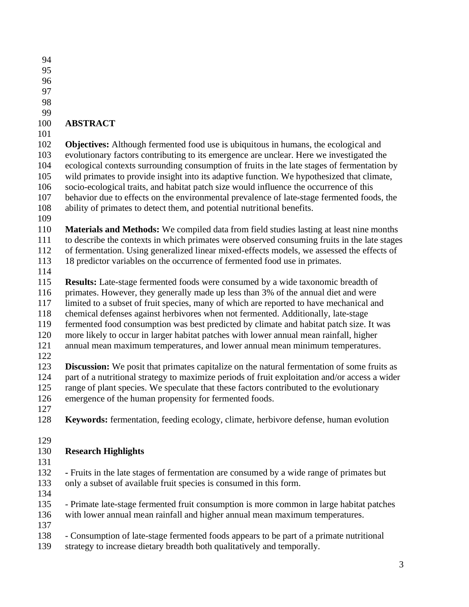- 
- 
- 
- 
- 

## **ABSTRACT**

 **Objectives:** Although fermented food use is ubiquitous in humans, the ecological and evolutionary factors contributing to its emergence are unclear. Here we investigated the ecological contexts surrounding consumption of fruits in the late stages of fermentation by wild primates to provide insight into its adaptive function. We hypothesized that climate, socio-ecological traits, and habitat patch size would influence the occurrence of this behavior due to effects on the environmental prevalence of late-stage fermented foods, the ability of primates to detect them, and potential nutritional benefits.

 **Materials and Methods:** We compiled data from field studies lasting at least nine months to describe the contexts in which primates were observed consuming fruits in the late stages

- of fermentation. Using generalized linear mixed-effects models, we assessed the effects of
- 18 predictor variables on the occurrence of fermented food use in primates.
- 

 **Results:** Late-stage fermented foods were consumed by a wide taxonomic breadth of primates. However, they generally made up less than 3% of the annual diet and were limited to a subset of fruit species, many of which are reported to have mechanical and chemical defenses against herbivores when not fermented. Additionally, late-stage

- fermented food consumption was best predicted by climate and habitat patch size. It was
- more likely to occur in larger habitat patches with lower annual mean rainfall, higher
- annual mean maximum temperatures, and lower annual mean minimum temperatures.
- 

 **Discussion:** We posit that primates capitalize on the natural fermentation of some fruits as part of a nutritional strategy to maximize periods of fruit exploitation and/or access a wider range of plant species. We speculate that these factors contributed to the evolutionary emergence of the human propensity for fermented foods.

- 
- **Keywords:** fermentation, feeding ecology, climate, herbivore defense, human evolution
- 

# **Research Highlights**

 **-** Fruits in the late stages of fermentation are consumed by a wide range of primates but only a subset of available fruit species is consumed in this form.

 - Primate late-stage fermented fruit consumption is more common in large habitat patches with lower annual mean rainfall and higher annual mean maximum temperatures.

- 
- Consumption of late-stage fermented foods appears to be part of a primate nutritional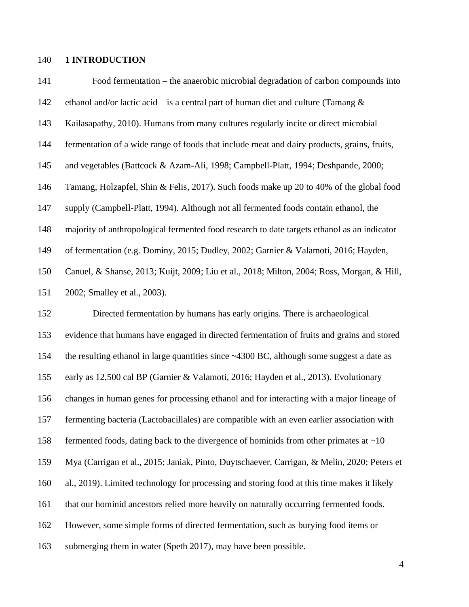### **1 INTRODUCTION**

| 141 | Food fermentation – the anaerobic microbial degradation of carbon compounds into            |
|-----|---------------------------------------------------------------------------------------------|
| 142 | ethanol and/or lactic acid – is a central part of human diet and culture (Tamang $\&$       |
| 143 | Kailasapathy, 2010). Humans from many cultures regularly incite or direct microbial         |
| 144 | fermentation of a wide range of foods that include meat and dairy products, grains, fruits, |
| 145 | and vegetables (Battcock & Azam-Ali, 1998; Campbell-Platt, 1994; Deshpande, 2000;           |
| 146 | Tamang, Holzapfel, Shin & Felis, 2017). Such foods make up 20 to 40% of the global food     |
| 147 | supply (Campbell-Platt, 1994). Although not all fermented foods contain ethanol, the        |
| 148 | majority of anthropological fermented food research to date targets ethanol as an indicator |
| 149 | of fermentation (e.g. Dominy, 2015; Dudley, 2002; Garnier & Valamoti, 2016; Hayden,         |
| 150 | Canuel, & Shanse, 2013; Kuijt, 2009; Liu et al., 2018; Milton, 2004; Ross, Morgan, & Hill,  |
| 151 | 2002; Smalley et al., 2003).                                                                |
| 152 | Directed fermentation by humans has early origins. There is archaeological                  |
| 153 | evidence that humans have engaged in directed fermentation of fruits and grains and stored  |
| 154 | the resulting ethanol in large quantities since ~4300 BC, although some suggest a date as   |
| 155 | early as 12,500 cal BP (Garnier & Valamoti, 2016; Hayden et al., 2013). Evolutionary        |
| 156 | changes in human genes for processing ethanol and for interacting with a major lineage of   |
| 157 | fermenting bacteria (Lactobacillales) are compatible with an even earlier association with  |
| 158 | fermented foods, dating back to the divergence of hominids from other primates at $\sim 10$ |
| 159 | Mya (Carrigan et al., 2015; Janiak, Pinto, Duytschaever, Carrigan, & Melin, 2020; Peters et |
| 160 | al., 2019). Limited technology for processing and storing food at this time makes it likely |
| 161 | that our hominid ancestors relied more heavily on naturally occurring fermented foods.      |
| 162 | However, some simple forms of directed fermentation, such as burying food items or          |
| 163 | submerging them in water (Speth 2017), may have been possible.                              |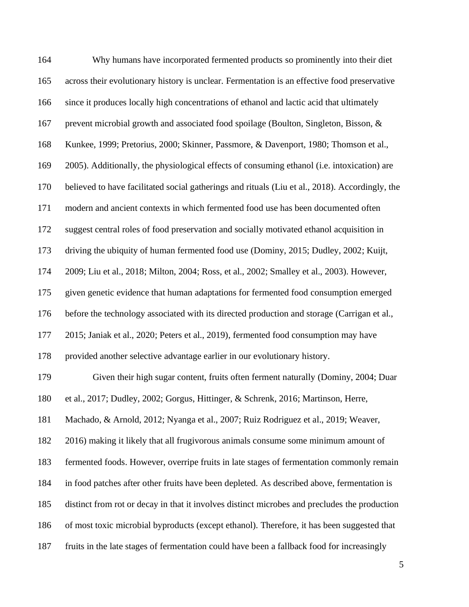| 164 | Why humans have incorporated fermented products so prominently into their diet                  |
|-----|-------------------------------------------------------------------------------------------------|
| 165 | across their evolutionary history is unclear. Fermentation is an effective food preservative    |
| 166 | since it produces locally high concentrations of ethanol and lactic acid that ultimately        |
| 167 | prevent microbial growth and associated food spoilage (Boulton, Singleton, Bisson, &            |
| 168 | Kunkee, 1999; Pretorius, 2000; Skinner, Passmore, & Davenport, 1980; Thomson et al.,            |
| 169 | 2005). Additionally, the physiological effects of consuming ethanol (i.e. intoxication) are     |
| 170 | believed to have facilitated social gatherings and rituals (Liu et al., 2018). Accordingly, the |
| 171 | modern and ancient contexts in which fermented food use has been documented often               |
| 172 | suggest central roles of food preservation and socially motivated ethanol acquisition in        |
| 173 | driving the ubiquity of human fermented food use (Dominy, 2015; Dudley, 2002; Kuijt,            |
| 174 | 2009; Liu et al., 2018; Milton, 2004; Ross, et al., 2002; Smalley et al., 2003). However,       |
| 175 | given genetic evidence that human adaptations for fermented food consumption emerged            |
| 176 | before the technology associated with its directed production and storage (Carrigan et al.,     |
| 177 | 2015; Janiak et al., 2020; Peters et al., 2019), fermented food consumption may have            |
| 178 | provided another selective advantage earlier in our evolutionary history.                       |
| 179 | Given their high sugar content, fruits often ferment naturally (Dominy, 2004; Duar              |
| 180 | et al., 2017; Dudley, 2002; Gorgus, Hittinger, & Schrenk, 2016; Martinson, Herre,               |
| 181 | Machado, & Arnold, 2012; Nyanga et al., 2007; Ruiz Rodriguez et al., 2019; Weaver,              |
| 182 | 2016) making it likely that all frugivorous animals consume some minimum amount of              |
| 183 | fermented foods. However, overripe fruits in late stages of fermentation commonly remain        |
| 184 | in food patches after other fruits have been depleted. As described above, fermentation is      |
| 185 | distinct from rot or decay in that it involves distinct microbes and precludes the production   |
| 186 | of most toxic microbial byproducts (except ethanol). Therefore, it has been suggested that      |
| 187 | fruits in the late stages of fermentation could have been a fallback food for increasingly      |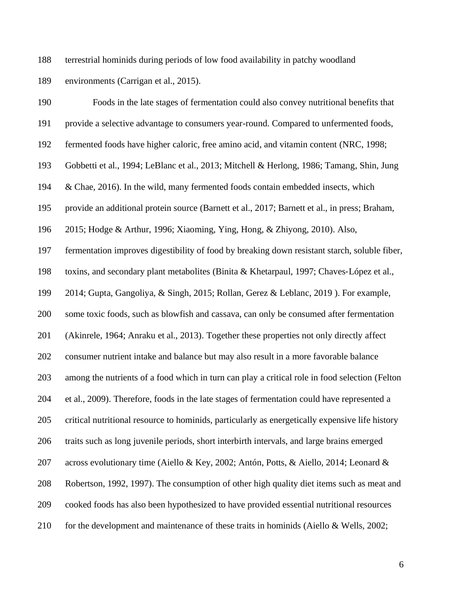terrestrial hominids during periods of low food availability in patchy woodland

environments (Carrigan et al., 2015).

| 190 | Foods in the late stages of fermentation could also convey nutritional benefits that            |
|-----|-------------------------------------------------------------------------------------------------|
| 191 | provide a selective advantage to consumers year-round. Compared to unfermented foods,           |
| 192 | fermented foods have higher caloric, free amino acid, and vitamin content (NRC, 1998;           |
| 193 | Gobbetti et al., 1994; LeBlanc et al., 2013; Mitchell & Herlong, 1986; Tamang, Shin, Jung       |
| 194 | & Chae, 2016). In the wild, many fermented foods contain embedded insects, which                |
| 195 | provide an additional protein source (Barnett et al., 2017; Barnett et al., in press; Braham,   |
| 196 | 2015; Hodge & Arthur, 1996; Xiaoming, Ying, Hong, & Zhiyong, 2010). Also,                       |
| 197 | fermentation improves digestibility of food by breaking down resistant starch, soluble fiber,   |
| 198 | toxins, and secondary plant metabolites (Binita & Khetarpaul, 1997; Chaves-López et al.,        |
| 199 | 2014; Gupta, Gangoliya, & Singh, 2015; Rollan, Gerez & Leblanc, 2019). For example,             |
| 200 | some toxic foods, such as blowfish and cassava, can only be consumed after fermentation         |
| 201 | (Akinrele, 1964; Anraku et al., 2013). Together these properties not only directly affect       |
| 202 | consumer nutrient intake and balance but may also result in a more favorable balance            |
| 203 | among the nutrients of a food which in turn can play a critical role in food selection (Felton  |
| 204 | et al., 2009). Therefore, foods in the late stages of fermentation could have represented a     |
| 205 | critical nutritional resource to hominids, particularly as energetically expensive life history |
| 206 | traits such as long juvenile periods, short interbirth intervals, and large brains emerged      |
| 207 | across evolutionary time (Aiello & Key, 2002; Antón, Potts, & Aiello, 2014; Leonard &           |
| 208 | Robertson, 1992, 1997). The consumption of other high quality diet items such as meat and       |
| 209 | cooked foods has also been hypothesized to have provided essential nutritional resources        |
| 210 | for the development and maintenance of these traits in hominids (Aiello & Wells, 2002;          |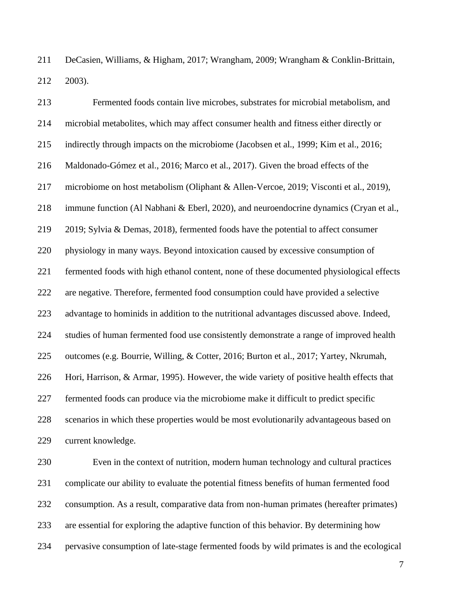DeCasien, Williams, & Higham, 2017; Wrangham, 2009; Wrangham & Conklin-Brittain, 2003).

 Fermented foods contain live microbes, substrates for microbial metabolism, and microbial metabolites, which may affect consumer health and fitness either directly or indirectly through impacts on the microbiome (Jacobsen et al., 1999; Kim et al., 2016; Maldonado-Gómez et al., 2016; Marco et al., 2017). Given the broad effects of the microbiome on host metabolism (Oliphant & Allen-Vercoe, 2019; Visconti et al., 2019), immune function (Al Nabhani & Eberl, 2020), and neuroendocrine dynamics (Cryan et al., 2019; Sylvia & Demas, 2018), fermented foods have the potential to affect consumer physiology in many ways. Beyond intoxication caused by excessive consumption of fermented foods with high ethanol content, none of these documented physiological effects are negative. Therefore, fermented food consumption could have provided a selective advantage to hominids in addition to the nutritional advantages discussed above. Indeed, studies of human fermented food use consistently demonstrate a range of improved health outcomes (e.g. Bourrie, Willing, & Cotter, 2016; Burton et al., 2017; Yartey, Nkrumah, Hori, Harrison, & Armar, 1995). However, the wide variety of positive health effects that fermented foods can produce via the microbiome make it difficult to predict specific scenarios in which these properties would be most evolutionarily advantageous based on current knowledge.

 Even in the context of nutrition, modern human technology and cultural practices complicate our ability to evaluate the potential fitness benefits of human fermented food consumption. As a result, comparative data from non-human primates (hereafter primates) are essential for exploring the adaptive function of this behavior. By determining how pervasive consumption of late-stage fermented foods by wild primates is and the ecological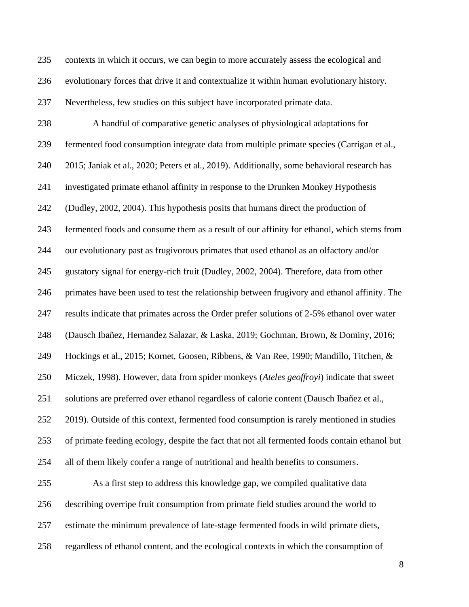contexts in which it occurs, we can begin to more accurately assess the ecological and

evolutionary forces that drive it and contextualize it within human evolutionary history.

Nevertheless, few studies on this subject have incorporated primate data.

 A handful of comparative genetic analyses of physiological adaptations for fermented food consumption integrate data from multiple primate species (Carrigan et al., 2015; Janiak et al., 2020; Peters et al., 2019). Additionally, some behavioral research has investigated primate ethanol affinity in response to the Drunken Monkey Hypothesis (Dudley, 2002, 2004). This hypothesis posits that humans direct the production of fermented foods and consume them as a result of our affinity for ethanol, which stems from our evolutionary past as frugivorous primates that used ethanol as an olfactory and/or gustatory signal for energy-rich fruit (Dudley, 2002, 2004). Therefore, data from other primates have been used to test the relationship between frugivory and ethanol affinity. The results indicate that primates across the Order prefer solutions of 2-5% ethanol over water (Dausch Ibañez, Hernandez Salazar, & Laska, 2019; Gochman, Brown, & Dominy, 2016; Hockings et al., 2015; Kornet, Goosen, Ribbens, & Van Ree, 1990; Mandillo, Titchen, & Miczek, 1998). However, data from spider monkeys (*Ateles geoffroyi*) indicate that sweet solutions are preferred over ethanol regardless of calorie content (Dausch Ibañez et al., 2019). Outside of this context, fermented food consumption is rarely mentioned in studies of primate feeding ecology, despite the fact that not all fermented foods contain ethanol but all of them likely confer a range of nutritional and health benefits to consumers.

 As a first step to address this knowledge gap, we compiled qualitative data describing overripe fruit consumption from primate field studies around the world to estimate the minimum prevalence of late-stage fermented foods in wild primate diets, regardless of ethanol content, and the ecological contexts in which the consumption of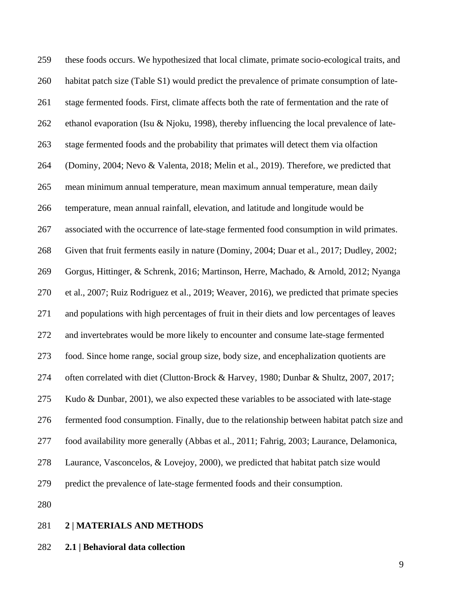these foods occurs. We hypothesized that local climate, primate socio-ecological traits, and 260 habitat patch size (Table S1) would predict the prevalence of primate consumption of late- stage fermented foods. First, climate affects both the rate of fermentation and the rate of 262 ethanol evaporation (Isu & Njoku, 1998), thereby influencing the local prevalence of late- stage fermented foods and the probability that primates will detect them via olfaction (Dominy, 2004; Nevo & Valenta, 2018; Melin et al., 2019). Therefore, we predicted that mean minimum annual temperature, mean maximum annual temperature, mean daily temperature, mean annual rainfall, elevation, and latitude and longitude would be associated with the occurrence of late-stage fermented food consumption in wild primates. Given that fruit ferments easily in nature (Dominy, 2004; Duar et al., 2017; Dudley, 2002; Gorgus, Hittinger, & Schrenk, 2016; Martinson, Herre, Machado, & Arnold, 2012; Nyanga et al., 2007; Ruiz Rodriguez et al., 2019; Weaver, 2016), we predicted that primate species and populations with high percentages of fruit in their diets and low percentages of leaves and invertebrates would be more likely to encounter and consume late-stage fermented food. Since home range, social group size, body size, and encephalization quotients are 274 often correlated with diet (Clutton-Brock & Harvey, 1980; Dunbar & Shultz, 2007, 2017; Kudo & Dunbar, 2001), we also expected these variables to be associated with late-stage fermented food consumption. Finally, due to the relationship between habitat patch size and food availability more generally (Abbas et al., 2011; Fahrig, 2003; Laurance, Delamonica, Laurance, Vasconcelos, & Lovejoy, 2000), we predicted that habitat patch size would predict the prevalence of late-stage fermented foods and their consumption. 

### **2 | MATERIALS AND METHODS**

**2.1 | Behavioral data collection**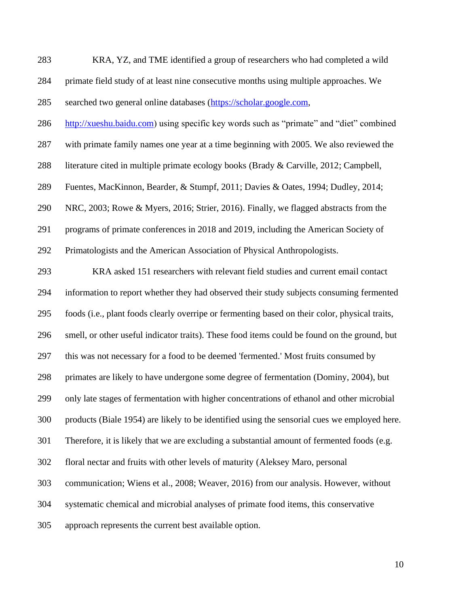| 283 | KRA, YZ, and TME identified a group of researchers who had completed a wild           |
|-----|---------------------------------------------------------------------------------------|
| 284 | primate field study of at least nine consecutive months using multiple approaches. We |
| 285 | searched two general online databases (https://scholar.google.com,                    |

[http://xueshu.baidu.com\)](http://xueshu.baidu.com/) using specific key words such as "primate" and "diet" combined

with primate family names one year at a time beginning with 2005. We also reviewed the

literature cited in multiple primate ecology books (Brady & Carville, 2012; Campbell,

Fuentes, MacKinnon, Bearder, & Stumpf, 2011; Davies & Oates, 1994; Dudley, 2014;

NRC, 2003; Rowe & Myers, 2016; Strier, 2016). Finally, we flagged abstracts from the

programs of primate conferences in 2018 and 2019, including the American Society of

Primatologists and the American Association of Physical Anthropologists.

 KRA asked 151 researchers with relevant field studies and current email contact information to report whether they had observed their study subjects consuming fermented foods (i.e., plant foods clearly overripe or fermenting based on their color, physical traits, smell, or other useful indicator traits). These food items could be found on the ground, but this was not necessary for a food to be deemed 'fermented.' Most fruits consumed by primates are likely to have undergone some degree of fermentation (Dominy, 2004), but only late stages of fermentation with higher concentrations of ethanol and other microbial products (Biale 1954) are likely to be identified using the sensorial cues we employed here. Therefore, it is likely that we are excluding a substantial amount of fermented foods (e.g. floral nectar and fruits with other levels of maturity (Aleksey Maro, personal communication; Wiens et al., 2008; Weaver, 2016) from our analysis. However, without systematic chemical and microbial analyses of primate food items, this conservative approach represents the current best available option.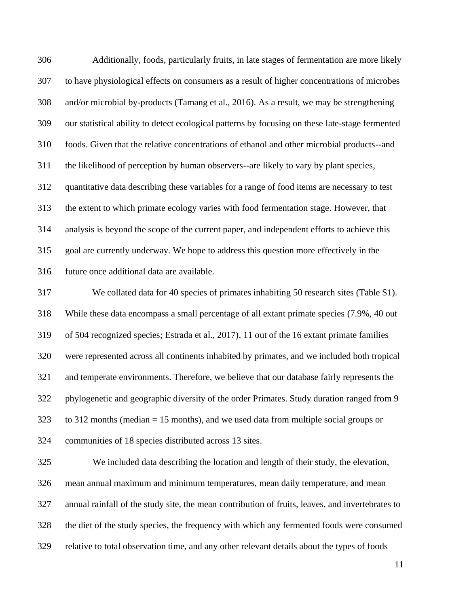Additionally, foods, particularly fruits, in late stages of fermentation are more likely to have physiological effects on consumers as a result of higher concentrations of microbes and/or microbial by-products (Tamang et al., 2016). As a result, we may be strengthening our statistical ability to detect ecological patterns by focusing on these late-stage fermented foods. Given that the relative concentrations of ethanol and other microbial products--and the likelihood of perception by human observers--are likely to vary by plant species, quantitative data describing these variables for a range of food items are necessary to test the extent to which primate ecology varies with food fermentation stage. However, that analysis is beyond the scope of the current paper, and independent efforts to achieve this goal are currently underway. We hope to address this question more effectively in the future once additional data are available.

 We collated data for 40 species of primates inhabiting 50 research sites (Table S1). While these data encompass a small percentage of all extant primate species (7.9%, 40 out of 504 recognized species; Estrada et al., 2017), 11 out of the 16 extant primate families were represented across all continents inhabited by primates, and we included both tropical and temperate environments. Therefore, we believe that our database fairly represents the phylogenetic and geographic diversity of the order Primates. Study duration ranged from 9 to 312 months (median = 15 months), and we used data from multiple social groups or communities of 18 species distributed across 13 sites.

 We included data describing the location and length of their study, the elevation, mean annual maximum and minimum temperatures, mean daily temperature, and mean annual rainfall of the study site, the mean contribution of fruits, leaves, and invertebrates to the diet of the study species, the frequency with which any fermented foods were consumed relative to total observation time, and any other relevant details about the types of foods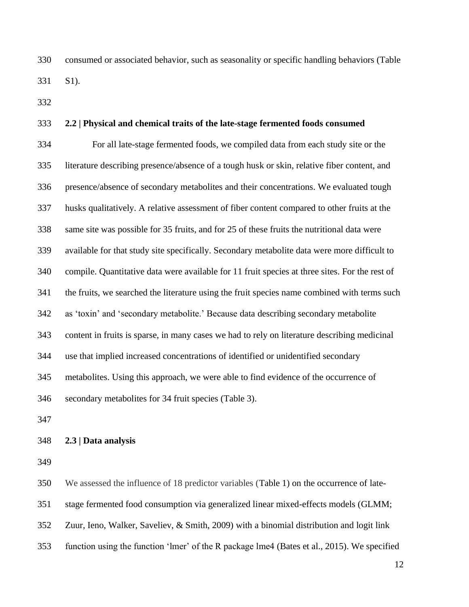consumed or associated behavior, such as seasonality or specific handling behaviors (Table S1).

#### **2.2 | Physical and chemical traits of the late-stage fermented foods consumed**

 For all late-stage fermented foods, we compiled data from each study site or the literature describing presence/absence of a tough husk or skin, relative fiber content, and presence/absence of secondary metabolites and their concentrations. We evaluated tough husks qualitatively. A relative assessment of fiber content compared to other fruits at the same site was possible for 35 fruits, and for 25 of these fruits the nutritional data were available for that study site specifically. Secondary metabolite data were more difficult to compile. Quantitative data were available for 11 fruit species at three sites. For the rest of the fruits, we searched the literature using the fruit species name combined with terms such as 'toxin' and 'secondary metabolite.' Because data describing secondary metabolite content in fruits is sparse, in many cases we had to rely on literature describing medicinal use that implied increased concentrations of identified or unidentified secondary metabolites. Using this approach, we were able to find evidence of the occurrence of secondary metabolites for 34 fruit species (Table 3).

#### **2.3 | Data analysis**

We assessed the influence of 18 predictor variables (Table 1) on the occurrence of late-

stage fermented food consumption via generalized linear mixed-effects models (GLMM;

Zuur, Ieno, Walker, Saveliev, & Smith, 2009) with a binomial distribution and logit link

function using the function 'lmer' of the R package lme4 (Bates et al., 2015). We specified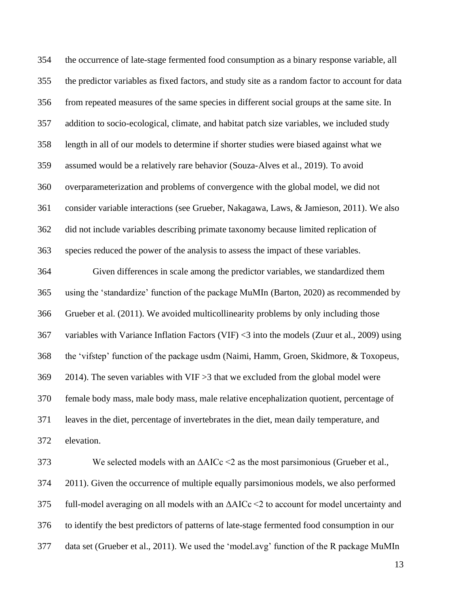the occurrence of late-stage fermented food consumption as a binary response variable, all the predictor variables as fixed factors, and study site as a random factor to account for data from repeated measures of the same species in different social groups at the same site. In addition to socio-ecological, climate, and habitat patch size variables, we included study length in all of our models to determine if shorter studies were biased against what we assumed would be a relatively rare behavior (Souza-Alves et al., 2019). To avoid overparameterization and problems of convergence with the global model, we did not consider variable interactions (see Grueber, Nakagawa, Laws, & Jamieson, 2011). We also did not include variables describing primate taxonomy because limited replication of species reduced the power of the analysis to assess the impact of these variables.

 Given differences in scale among the predictor variables, we standardized them using the 'standardize' function of the package MuMIn (Barton, 2020) as recommended by Grueber et al. (2011). We avoided multicollinearity problems by only including those variables with Variance Inflation Factors (VIF) <3 into the models (Zuur et al., 2009) using the 'vifstep' function of the package usdm (Naimi, Hamm, Groen, Skidmore, & Toxopeus, 2014). The seven variables with VIF >3 that we excluded from the global model were female body mass, male body mass, male relative encephalization quotient, percentage of leaves in the diet, percentage of invertebrates in the diet, mean daily temperature, and elevation.

373 We selected models with an  $\Delta AICc \leq 2$  as the most parsimonious (Grueber et al., 2011). Given the occurrence of multiple equally parsimonious models, we also performed full-model averaging on all models with an ΔAICc <2 to account for model uncertainty and to identify the best predictors of patterns of late-stage fermented food consumption in our data set (Grueber et al., 2011). We used the 'model.avg' function of the R package MuMIn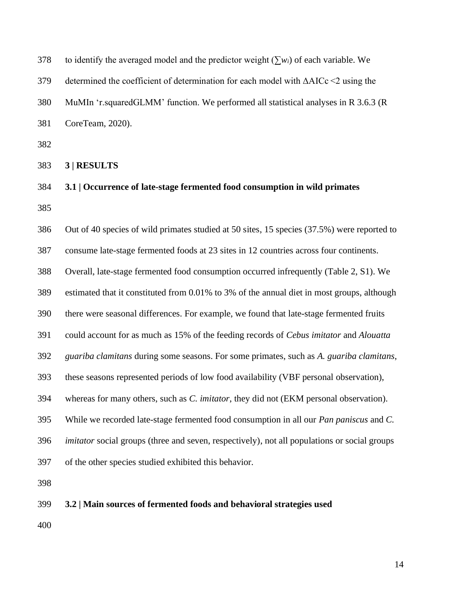| 378 | to identify the averaged model and the predictor weight $(\sum w_i)$ of each variable. We             |
|-----|-------------------------------------------------------------------------------------------------------|
| 379 | determined the coefficient of determination for each model with $\triangle AICc \leq 2$ using the     |
| 380 | MuMIn 'r.squaredGLMM' function. We performed all statistical analyses in R 3.6.3 (R                   |
| 381 | CoreTeam, 2020).                                                                                      |
| 382 |                                                                                                       |
| 383 | 3   RESULTS                                                                                           |
| 384 | 3.1   Occurrence of late-stage fermented food consumption in wild primates                            |
| 385 |                                                                                                       |
| 386 | Out of 40 species of wild primates studied at 50 sites, 15 species (37.5%) were reported to           |
| 387 | consume late-stage fermented foods at 23 sites in 12 countries across four continents.                |
| 388 | Overall, late-stage fermented food consumption occurred infrequently (Table 2, S1). We                |
| 389 | estimated that it constituted from 0.01% to 3% of the annual diet in most groups, although            |
| 390 | there were seasonal differences. For example, we found that late-stage fermented fruits               |
| 391 | could account for as much as 15% of the feeding records of Cebus imitator and Alouatta                |
| 392 | guariba clamitans during some seasons. For some primates, such as A. guariba clamitans,               |
| 393 | these seasons represented periods of low food availability (VBF personal observation),                |
| 394 | whereas for many others, such as C. imitator, they did not (EKM personal observation).                |
| 395 | While we recorded late-stage fermented food consumption in all our <i>Pan paniscus</i> and <i>C</i> . |
| 396 | <i>imitator</i> social groups (three and seven, respectively), not all populations or social groups   |
| 397 | of the other species studied exhibited this behavior.                                                 |
| 398 |                                                                                                       |
| 399 | 3.2   Main sources of fermented foods and behavioral strategies used                                  |
| 400 |                                                                                                       |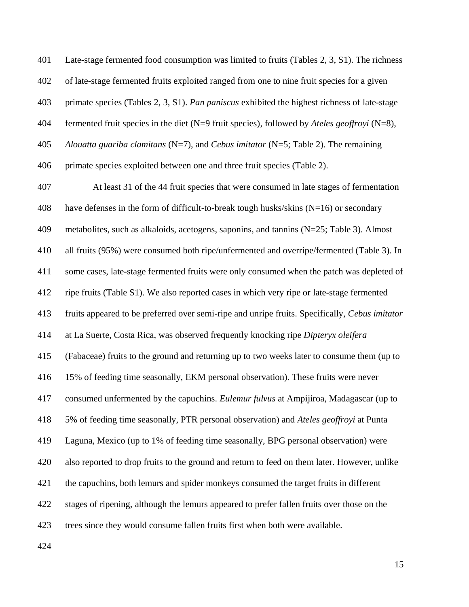Late-stage fermented food consumption was limited to fruits (Tables 2, 3, S1). The richness of late-stage fermented fruits exploited ranged from one to nine fruit species for a given primate species (Tables 2, 3, S1). *Pan paniscus* exhibited the highest richness of late-stage fermented fruit species in the diet (N=9 fruit species), followed by *Ateles geoffroyi* (N=8), *Alouatta guariba clamitans* (N=7), and *Cebus imitator* (N=5; Table 2). The remaining primate species exploited between one and three fruit species (Table 2).

 At least 31 of the 44 fruit species that were consumed in late stages of fermentation 408 have defenses in the form of difficult-to-break tough husks/skins  $(N=16)$  or secondary metabolites, such as alkaloids, acetogens, saponins, and tannins (N=25; Table 3). Almost all fruits (95%) were consumed both ripe/unfermented and overripe/fermented (Table 3). In some cases, late-stage fermented fruits were only consumed when the patch was depleted of ripe fruits (Table S1). We also reported cases in which very ripe or late-stage fermented fruits appeared to be preferred over semi-ripe and unripe fruits. Specifically, *Cebus imitator* at La Suerte, Costa Rica, was observed frequently knocking ripe *Dipteryx oleifera* (Fabaceae) fruits to the ground and returning up to two weeks later to consume them (up to 15% of feeding time seasonally, EKM personal observation). These fruits were never consumed unfermented by the capuchins. *Eulemur fulvus* at Ampijiroa, Madagascar (up to 5% of feeding time seasonally, PTR personal observation) and *Ateles geoffroyi* at Punta Laguna, Mexico (up to 1% of feeding time seasonally, BPG personal observation) were also reported to drop fruits to the ground and return to feed on them later. However, unlike the capuchins, both lemurs and spider monkeys consumed the target fruits in different stages of ripening, although the lemurs appeared to prefer fallen fruits over those on the trees since they would consume fallen fruits first when both were available.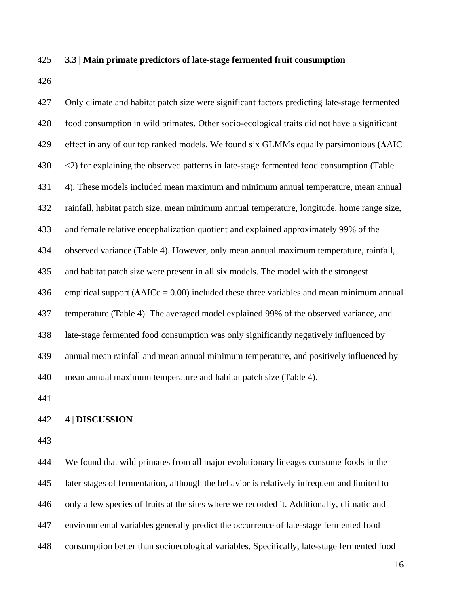#### **3.3 | Main primate predictors of late-stage fermented fruit consumption**

 Only climate and habitat patch size were significant factors predicting late-stage fermented food consumption in wild primates. Other socio-ecological traits did not have a significant effect in any of our top ranked models. We found six GLMMs equally parsimonious (**Δ**AIC 430 <2) for explaining the observed patterns in late-stage fermented food consumption (Table 4). These models included mean maximum and minimum annual temperature, mean annual rainfall, habitat patch size, mean minimum annual temperature, longitude, home range size, and female relative encephalization quotient and explained approximately 99% of the observed variance (Table 4). However, only mean annual maximum temperature, rainfall, and habitat patch size were present in all six models. The model with the strongest 436 empirical support  $(AAICc = 0.00)$  included these three variables and mean minimum annual temperature (Table 4). The averaged model explained 99% of the observed variance, and late-stage fermented food consumption was only significantly negatively influenced by annual mean rainfall and mean annual minimum temperature, and positively influenced by mean annual maximum temperature and habitat patch size (Table 4).

#### **4 | DISCUSSION**

 We found that wild primates from all major evolutionary lineages consume foods in the later stages of fermentation, although the behavior is relatively infrequent and limited to only a few species of fruits at the sites where we recorded it. Additionally, climatic and environmental variables generally predict the occurrence of late-stage fermented food consumption better than socioecological variables. Specifically, late-stage fermented food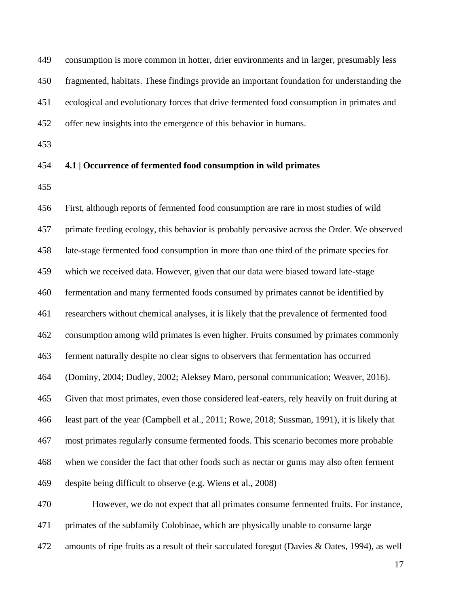consumption is more common in hotter, drier environments and in larger, presumably less fragmented, habitats. These findings provide an important foundation for understanding the ecological and evolutionary forces that drive fermented food consumption in primates and offer new insights into the emergence of this behavior in humans.

### **4.1 | Occurrence of fermented food consumption in wild primates**

 First, although reports of fermented food consumption are rare in most studies of wild primate feeding ecology, this behavior is probably pervasive across the Order. We observed late-stage fermented food consumption in more than one third of the primate species for which we received data. However, given that our data were biased toward late-stage fermentation and many fermented foods consumed by primates cannot be identified by researchers without chemical analyses, it is likely that the prevalence of fermented food consumption among wild primates is even higher. Fruits consumed by primates commonly ferment naturally despite no clear signs to observers that fermentation has occurred (Dominy, 2004; Dudley, 2002; Aleksey Maro, personal communication; Weaver, 2016). Given that most primates, even those considered leaf-eaters, rely heavily on fruit during at least part of the year (Campbell et al., 2011; Rowe, 2018; Sussman, 1991), it is likely that most primates regularly consume fermented foods. This scenario becomes more probable when we consider the fact that other foods such as nectar or gums may also often ferment despite being difficult to observe (e.g. Wiens et al., 2008) However, we do not expect that all primates consume fermented fruits. For instance,

primates of the subfamily Colobinae, which are physically unable to consume large

amounts of ripe fruits as a result of their sacculated foregut (Davies & Oates, 1994), as well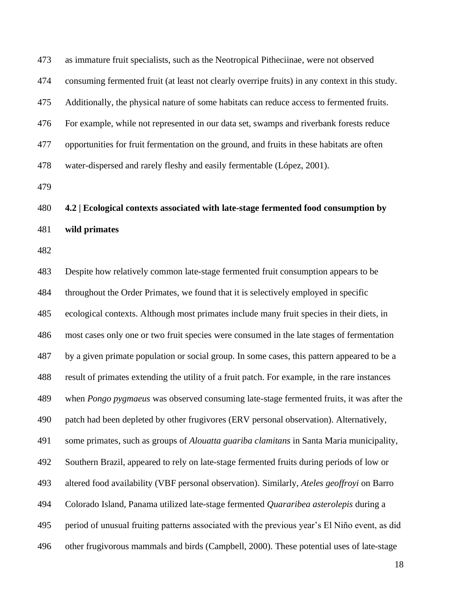| 474 | consuming fermented fruit (at least not clearly overripe fruits) in any context in this study.  |
|-----|-------------------------------------------------------------------------------------------------|
| 475 | Additionally, the physical nature of some habitats can reduce access to fermented fruits.       |
| 476 | For example, while not represented in our data set, swamps and riverbank forests reduce         |
| 477 | opportunities for fruit fermentation on the ground, and fruits in these habitats are often      |
| 478 | water-dispersed and rarely fleshy and easily fermentable (López, 2001).                         |
| 479 |                                                                                                 |
| 480 | 4.2   Ecological contexts associated with late-stage fermented food consumption by              |
| 481 | wild primates                                                                                   |
| 482 |                                                                                                 |
| 483 | Despite how relatively common late-stage fermented fruit consumption appears to be              |
| 484 | throughout the Order Primates, we found that it is selectively employed in specific             |
| 485 | ecological contexts. Although most primates include many fruit species in their diets, in       |
| 486 | most cases only one or two fruit species were consumed in the late stages of fermentation       |
| 487 | by a given primate population or social group. In some cases, this pattern appeared to be a     |
| 488 | result of primates extending the utility of a fruit patch. For example, in the rare instances   |
| 489 | when <i>Pongo pygmaeus</i> was observed consuming late-stage fermented fruits, it was after the |
| 490 | patch had been depleted by other frugivores (ERV personal observation). Alternatively,          |
| 491 | some primates, such as groups of <i>Alouatta guariba clamitans</i> in Santa Maria municipality, |
| 492 | Southern Brazil, appeared to rely on late-stage fermented fruits during periods of low or       |
| 493 | altered food availability (VBF personal observation). Similarly, Ateles geoffroyi on Barro      |
| 494 | Colorado Island, Panama utilized late-stage fermented Quararibea asterolepis during a           |
| 495 | period of unusual fruiting patterns associated with the previous year's El Niño event, as did   |
| 496 | other frugivorous mammals and birds (Campbell, 2000). These potential uses of late-stage        |

as immature fruit specialists, such as the Neotropical Pitheciinae, were not observed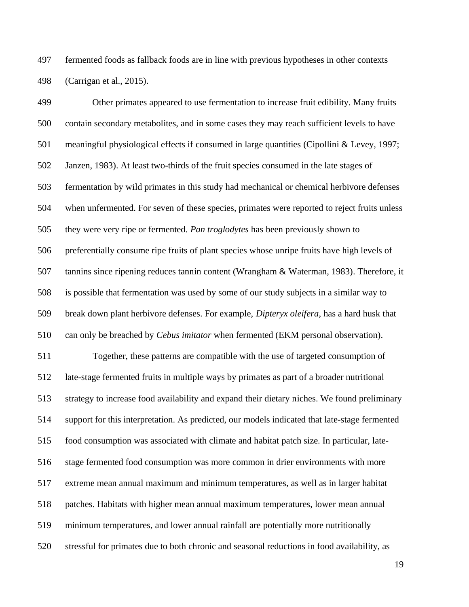fermented foods as fallback foods are in line with previous hypotheses in other contexts (Carrigan et al., 2015).

 Other primates appeared to use fermentation to increase fruit edibility. Many fruits contain secondary metabolites, and in some cases they may reach sufficient levels to have meaningful physiological effects if consumed in large quantities (Cipollini & Levey, 1997; Janzen, 1983). At least two-thirds of the fruit species consumed in the late stages of fermentation by wild primates in this study had mechanical or chemical herbivore defenses when unfermented. For seven of these species, primates were reported to reject fruits unless they were very ripe or fermented. *Pan troglodytes* has been previously shown to preferentially consume ripe fruits of plant species whose unripe fruits have high levels of tannins since ripening reduces tannin content (Wrangham & Waterman, 1983). Therefore, it is possible that fermentation was used by some of our study subjects in a similar way to break down plant herbivore defenses. For example, *Dipteryx oleifera*, has a hard husk that can only be breached by *Cebus imitator* when fermented (EKM personal observation). Together, these patterns are compatible with the use of targeted consumption of late-stage fermented fruits in multiple ways by primates as part of a broader nutritional strategy to increase food availability and expand their dietary niches. We found preliminary support for this interpretation. As predicted, our models indicated that late-stage fermented food consumption was associated with climate and habitat patch size. In particular, late- stage fermented food consumption was more common in drier environments with more extreme mean annual maximum and minimum temperatures, as well as in larger habitat patches. Habitats with higher mean annual maximum temperatures, lower mean annual minimum temperatures, and lower annual rainfall are potentially more nutritionally stressful for primates due to both chronic and seasonal reductions in food availability, as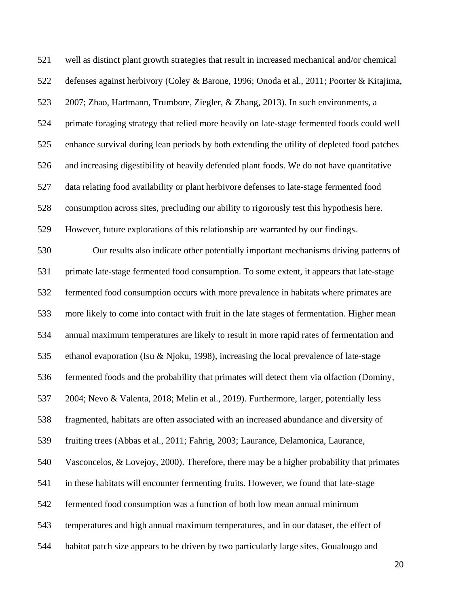| 521 | well as distinct plant growth strategies that result in increased mechanical and/or chemical |
|-----|----------------------------------------------------------------------------------------------|
| 522 | defenses against herbivory (Coley & Barone, 1996; Onoda et al., 2011; Poorter & Kitajima,    |
| 523 | 2007; Zhao, Hartmann, Trumbore, Ziegler, & Zhang, 2013). In such environments, a             |
| 524 | primate foraging strategy that relied more heavily on late-stage fermented foods could well  |
| 525 | enhance survival during lean periods by both extending the utility of depleted food patches  |
| 526 | and increasing digestibility of heavily defended plant foods. We do not have quantitative    |
| 527 | data relating food availability or plant herbivore defenses to late-stage fermented food     |
| 528 | consumption across sites, precluding our ability to rigorously test this hypothesis here.    |
| 529 | However, future explorations of this relationship are warranted by our findings.             |
| 530 | Our results also indicate other potentially important mechanisms driving patterns of         |
| 531 | primate late-stage fermented food consumption. To some extent, it appears that late-stage    |
| 532 | fermented food consumption occurs with more prevalence in habitats where primates are        |
| 533 | more likely to come into contact with fruit in the late stages of fermentation. Higher mean  |
| 534 | annual maximum temperatures are likely to result in more rapid rates of fermentation and     |
| 535 | ethanol evaporation (Isu & Njoku, 1998), increasing the local prevalence of late-stage       |
| 536 | fermented foods and the probability that primates will detect them via olfaction (Dominy,    |
| 537 | 2004; Nevo & Valenta, 2018; Melin et al., 2019). Furthermore, larger, potentially less       |
| 538 | fragmented, habitats are often associated with an increased abundance and diversity of       |
| 539 | fruiting trees (Abbas et al., 2011; Fahrig, 2003; Laurance, Delamonica, Laurance,            |
| 540 | Vasconcelos, $& Loves, 2000$ . Therefore, there may be a higher probability that primates    |
| 541 | in these habitats will encounter fermenting fruits. However, we found that late-stage        |
| 542 | fermented food consumption was a function of both low mean annual minimum                    |
| 543 | temperatures and high annual maximum temperatures, and in our dataset, the effect of         |
| 544 | habitat patch size appears to be driven by two particularly large sites, Goualougo and       |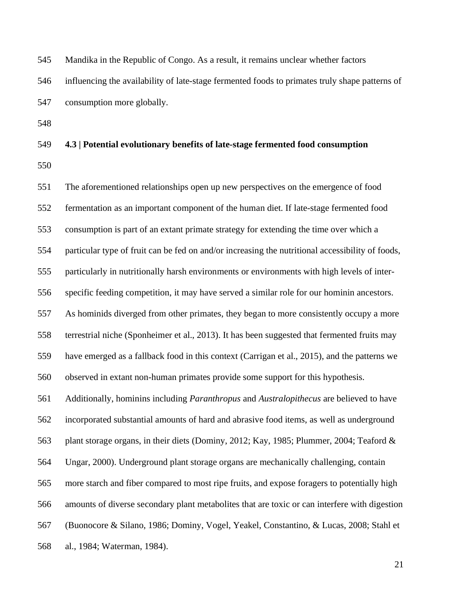| 545 | Mandika in the Republic of Congo. As a result, it remains unclear whether factors              |
|-----|------------------------------------------------------------------------------------------------|
| 546 | influencing the availability of late-stage fermented foods to primates truly shape patterns of |
| 547 | consumption more globally.                                                                     |

### **4.3 | Potential evolutionary benefits of late-stage fermented food consumption**

 The aforementioned relationships open up new perspectives on the emergence of food fermentation as an important component of the human diet. If late-stage fermented food consumption is part of an extant primate strategy for extending the time over which a particular type of fruit can be fed on and/or increasing the nutritional accessibility of foods, particularly in nutritionally harsh environments or environments with high levels of inter- specific feeding competition, it may have served a similar role for our hominin ancestors. As hominids diverged from other primates, they began to more consistently occupy a more terrestrial niche (Sponheimer et al., 2013). It has been suggested that fermented fruits may have emerged as a fallback food in this context (Carrigan et al., 2015), and the patterns we observed in extant non-human primates provide some support for this hypothesis. Additionally, hominins including *Paranthropus* and *Australopithecus* are believed to have incorporated substantial amounts of hard and abrasive food items, as well as underground 563 plant storage organs, in their diets (Dominy, 2012; Kay, 1985; Plummer, 2004; Teaford & Ungar, 2000). Underground plant storage organs are mechanically challenging, contain more starch and fiber compared to most ripe fruits, and expose foragers to potentially high amounts of diverse secondary plant metabolites that are toxic or can interfere with digestion (Buonocore & Silano, 1986; Dominy, Vogel, Yeakel, Constantino, & Lucas, 2008; Stahl et al., 1984; Waterman, 1984).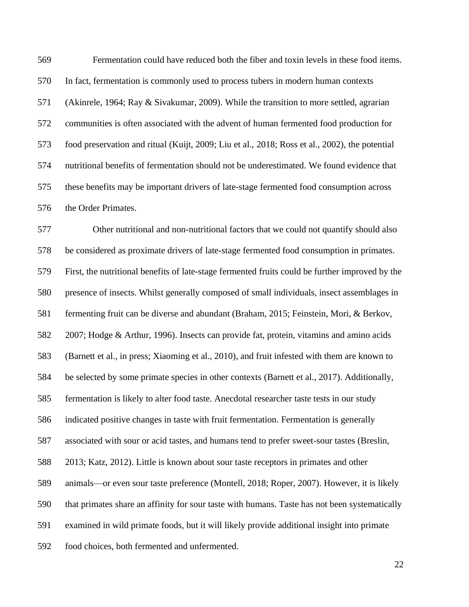Fermentation could have reduced both the fiber and toxin levels in these food items. In fact, fermentation is commonly used to process tubers in modern human contexts (Akinrele, 1964; Ray & Sivakumar, 2009). While the transition to more settled, agrarian communities is often associated with the advent of human fermented food production for food preservation and ritual (Kuijt, 2009; Liu et al., 2018; Ross et al., 2002), the potential nutritional benefits of fermentation should not be underestimated. We found evidence that these benefits may be important drivers of late-stage fermented food consumption across the Order Primates.

 Other nutritional and non-nutritional factors that we could not quantify should also be considered as proximate drivers of late-stage fermented food consumption in primates. First, the nutritional benefits of late-stage fermented fruits could be further improved by the presence of insects. Whilst generally composed of small individuals, insect assemblages in fermenting fruit can be diverse and abundant (Braham, 2015; Feinstein, Mori, & Berkov, 2007; Hodge & Arthur, 1996). Insects can provide fat, protein, vitamins and amino acids (Barnett et al., in press; Xiaoming et al., 2010), and fruit infested with them are known to be selected by some primate species in other contexts (Barnett et al., 2017). Additionally, fermentation is likely to alter food taste. Anecdotal researcher taste tests in our study indicated positive changes in taste with fruit fermentation. Fermentation is generally associated with sour or acid tastes, and humans tend to prefer sweet-sour tastes (Breslin, 2013; Katz, 2012). Little is known about sour taste receptors in primates and other animals—or even sour taste preference (Montell, 2018; Roper, 2007). However, it is likely that primates share an affinity for sour taste with humans. Taste has not been systematically examined in wild primate foods, but it will likely provide additional insight into primate food choices, both fermented and unfermented.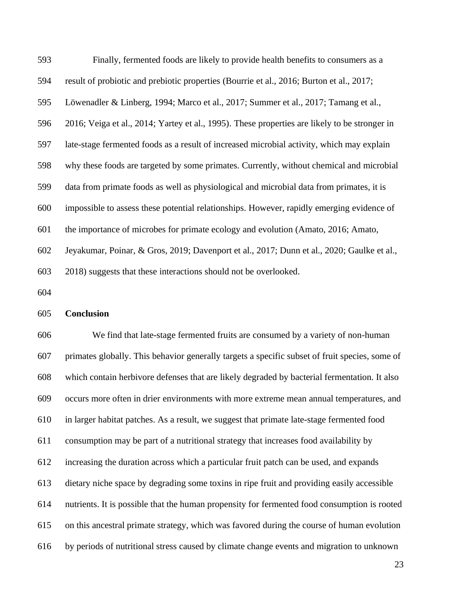| 593 | Finally, fermented foods are likely to provide health benefits to consumers as a              |
|-----|-----------------------------------------------------------------------------------------------|
| 594 | result of probiotic and prebiotic properties (Bourrie et al., 2016; Burton et al., 2017;      |
| 595 | Löwenadler & Linberg, 1994; Marco et al., 2017; Summer et al., 2017; Tamang et al.,           |
| 596 | 2016; Veiga et al., 2014; Yartey et al., 1995). These properties are likely to be stronger in |
| 597 | late-stage fermented foods as a result of increased microbial activity, which may explain     |
| 598 | why these foods are targeted by some primates. Currently, without chemical and microbial      |
| 599 | data from primate foods as well as physiological and microbial data from primates, it is      |
| 600 | impossible to assess these potential relationships. However, rapidly emerging evidence of     |
| 601 | the importance of microbes for primate ecology and evolution (Amato, 2016; Amato,             |
| 602 | Jeyakumar, Poinar, & Gros, 2019; Davenport et al., 2017; Dunn et al., 2020; Gaulke et al.,    |
| 603 | 2018) suggests that these interactions should not be overlooked.                              |
| 604 |                                                                                               |
|     |                                                                                               |

### **Conclusion**

 We find that late-stage fermented fruits are consumed by a variety of non-human primates globally. This behavior generally targets a specific subset of fruit species, some of which contain herbivore defenses that are likely degraded by bacterial fermentation. It also occurs more often in drier environments with more extreme mean annual temperatures, and in larger habitat patches. As a result, we suggest that primate late-stage fermented food consumption may be part of a nutritional strategy that increases food availability by increasing the duration across which a particular fruit patch can be used, and expands dietary niche space by degrading some toxins in ripe fruit and providing easily accessible nutrients. It is possible that the human propensity for fermented food consumption is rooted on this ancestral primate strategy, which was favored during the course of human evolution by periods of nutritional stress caused by climate change events and migration to unknown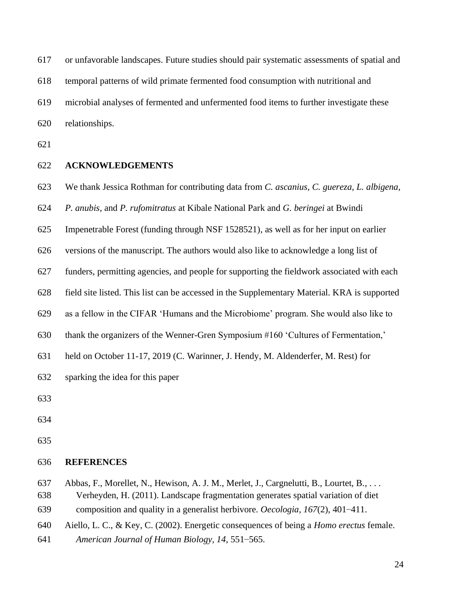or unfavorable landscapes. Future studies should pair systematic assessments of spatial and

temporal patterns of wild primate fermented food consumption with nutritional and

microbial analyses of fermented and unfermented food items to further investigate these

relationships.

### **ACKNOWLEDGEMENTS**

We thank Jessica Rothman for contributing data from *C. ascanius, C. guereza, L. albigena,* 

*P. anubis*, and *P. rufomitratus* at Kibale National Park and *G. beringei* at Bwindi

Impenetrable Forest (funding through NSF 1528521), as well as for her input on earlier

versions of the manuscript. The authors would also like to acknowledge a long list of

funders, permitting agencies, and people for supporting the fieldwork associated with each

field site listed. This list can be accessed in the Supplementary Material. KRA is supported

as a fellow in the CIFAR 'Humans and the Microbiome' program. She would also like to

thank the organizers of the Wenner-Gren Symposium #160 'Cultures of Fermentation,'

held on October 11-17, 2019 (C. Warinner, J. Hendy, M. Aldenderfer, M. Rest) for

sparking the idea for this paper

#### **REFERENCES**

Abbas, F., Morellet, N., Hewison, A. J. M., Merlet, J., Cargnelutti, B., Lourtet, B., . . .

Verheyden, H. (2011). Landscape fragmentation generates spatial variation of diet

composition and quality in a generalist herbivore. *Oecologia, 167*(2), 401–411.

- Aiello, L. C., & Key, C. (2002). Energetic consequences of being a *Homo erectus* female.
- *American Journal of Human Biology, 14*, 551–565.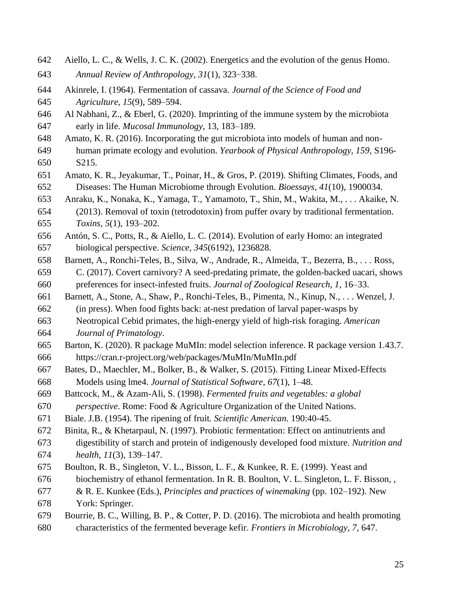- Aiello, L. C., & Wells, J. C. K. (2002). Energetics and the evolution of the genus Homo.
- *Annual Review of Anthropology*, *31*(1), 323–338.
- Akinrele, I. (1964). Fermentation of cassava. *Journal of the Science of Food and Agriculture, 15*(9), 589–594.
- Al Nabhani, Z., & Eberl, G. (2020). Imprinting of the immune system by the microbiota early in life. *Mucosal Immunology*, 13, 183–189.
- Amato, K. R. (2016). Incorporating the gut microbiota into models of human and non-
- human primate ecology and evolution. *Yearbook of Physical Anthropology, 159*, S196- S215.
- Amato, K. R., Jeyakumar, T., Poinar, H., & Gros, P. (2019). Shifting Climates, Foods, and Diseases: The Human Microbiome through Evolution. *Bioessays, 41*(10), 1900034.
- Anraku, K., Nonaka, K., Yamaga, T., Yamamoto, T., Shin, M., Wakita, M., . . . Akaike, N.
- (2013). Removal of toxin (tetrodotoxin) from puffer ovary by traditional fermentation. *Toxins, 5*(1), 193–202.
- Antón, S. C., Potts, R., & Aiello, L. C. (2014). Evolution of early Homo: an integrated biological perspective. *Science, 345*(6192), 1236828.
- Barnett, A., Ronchi-Teles, B., Silva, W., Andrade, R., Almeida, T., Bezerra, B., . . . Ross,
- C. (2017). Covert carnivory? A seed-predating primate, the golden-backed uacari, shows preferences for insect-infested fruits. *Journal of Zoological Research, 1*, 16–33.
- Barnett, A., Stone, A., Shaw, P., Ronchi-Teles, B., Pimenta, N., Kinup, N., . . . Wenzel, J.
- (in press). When food fights back: at-nest predation of larval paper-wasps by
- Neotropical Cebid primates, the high-energy yield of high-risk foraging. *American Journal of Primatology*.
- Barton, K. (2020). R package MuMIn: model selection inference. R package version 1.43.7. https://cran.r-project.org/web/packages/MuMIn/MuMIn.pdf
- Bates, D., Maechler, M., Bolker, B., & Walker, S. (2015). Fitting Linear Mixed-Effects Models using lme4. *Journal of Statistical Software*, *67*(1), 1–48.
- Battcock, M., & Azam-Ali, S. (1998). *Fermented fruits and vegetables: a global*
- *perspective*. Rome: Food & Agriculture Organization of the United Nations.
- Biale. J.B. (1954). The ripening of fruit. *Scientific American.* 190:40-45.
- Binita, R., & Khetarpaul, N. (1997). Probiotic fermentation: Effect on antinutrients and
- digestibility of starch and protein of indigenously developed food mixture. *Nutrition and health, 11*(3), 139–147.
- Boulton, R. B., Singleton, V. L., Bisson, L. F., & Kunkee, R. E. (1999). Yeast and
- biochemistry of ethanol fermentation. In R. B. Boulton, V. L. Singleton, L. F. Bisson, ,
- & R. E. Kunkee (Eds.), *Principles and practices of winemaking* (pp. 102–192). New York: Springer.
- Bourrie, B. C., Willing, B. P., & Cotter, P. D. (2016). The microbiota and health promoting
- characteristics of the fermented beverage kefir. *Frontiers in Microbiology, 7*, 647.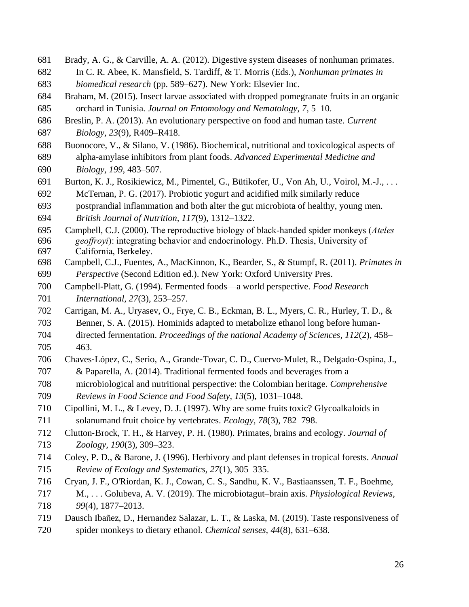- Brady, A. G., & Carville, A. A. (2012). Digestive system diseases of nonhuman primates.
- In C. R. Abee, K. Mansfield, S. Tardiff, & T. Morris (Eds.), *Nonhuman primates in biomedical research* (pp. 589–627). New York: Elsevier Inc.
- Braham, M. (2015). Insect larvae associated with dropped pomegranate fruits in an organic orchard in Tunisia. *Journal on Entomology and Nematology, 7*, 5–10.
- Breslin, P. A. (2013). An evolutionary perspective on food and human taste. *Current*
- *Biology, 23*(9), R409–R418.
- Buonocore, V., & Silano, V. (1986). Biochemical, nutritional and toxicological aspects of
- alpha-amylase inhibitors from plant foods. *Advanced Experimental Medicine and Biology, 199*, 483–507.
- Burton, K. J., Rosikiewicz, M., Pimentel, G., Bütikofer, U., Von Ah, U., Voirol, M.-J., . . . McTernan, P. G. (2017). Probiotic yogurt and acidified milk similarly reduce
- postprandial inflammation and both alter the gut microbiota of healthy, young men. *British Journal of Nutrition, 117*(9), 1312–1322.
- Campbell, C.J. (2000). The reproductive biology of black-handed spider monkeys (*Ateles geoffroyi*): integrating behavior and endocrinology. Ph.D. Thesis, University of California, Berkeley.
- Campbell, C.J., Fuentes, A., MacKinnon, K., Bearder, S., & Stumpf, R. (2011). *Primates in Perspective* (Second Edition ed.). New York: Oxford University Pres.
- Campbell-Platt, G. (1994). Fermented foods—a world perspective. *Food Research International, 27*(3), 253–257.
- Carrigan, M. A., Uryasev, O., Frye, C. B., Eckman, B. L., Myers, C. R., Hurley, T. D., & Benner, S. A. (2015). Hominids adapted to metabolize ethanol long before human-
- directed fermentation. *Proceedings of the national Academy of Sciences, 112*(2), 458–
- 463.
- Chaves‐López, C., Serio, A., Grande‐Tovar, C. D., Cuervo‐Mulet, R., Delgado‐Ospina, J., & Paparella, A. (2014). Traditional fermented foods and beverages from a
- microbiological and nutritional perspective: the Colombian heritage. *Comprehensive*
- *Reviews in Food Science and Food Safety, 13*(5), 1031–1048.
- Cipollini, M. L., & Levey, D. J. (1997). Why are some fruits toxic? Glycoalkaloids in solanumand fruit choice by vertebrates. *Ecology, 78*(3), 782–798.
- Clutton‐Brock, T. H., & Harvey, P. H. (1980). Primates, brains and ecology. *Journal of*
- *Zoology, 190*(3), 309–323.
- Coley, P. D., & Barone, J. (1996). Herbivory and plant defenses in tropical forests. *Annual Review of Ecology and Systematics, 27*(1), 305–335.
- Cryan, J. F., O'Riordan, K. J., Cowan, C. S., Sandhu, K. V., Bastiaanssen, T. F., Boehme,
- M., . . . Golubeva, A. V. (2019). The microbiotagut–brain axis. *Physiological Reviews, 99*(4), 1877–2013.
- Dausch Ibañez, D., Hernandez Salazar, L. T., & Laska, M. (2019). Taste responsiveness of
- spider monkeys to dietary ethanol. *Chemical senses, 44*(8), 631–638.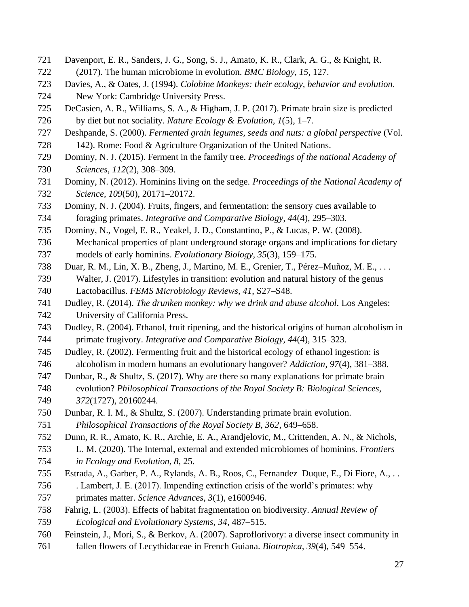- Davenport, E. R., Sanders, J. G., Song, S. J., Amato, K. R., Clark, A. G., & Knight, R.
- (2017). The human microbiome in evolution. *BMC Biology, 15*, 127.
- Davies, A., & Oates, J. (1994). *Colobine Monkeys: their ecology, behavior and evolution*. New York: Cambridge University Press.
- DeCasien, A. R., Williams, S. A., & Higham, J. P. (2017). Primate brain size is predicted by diet but not sociality. *Nature Ecology & Evolution, 1*(5), 1–7.
- Deshpande, S. (2000). *Fermented grain legumes, seeds and nuts: a global perspective* (Vol.
- 728 142). Rome: Food & Agriculture Organization of the United Nations.
- Dominy, N. J. (2015). Ferment in the family tree. *Proceedings of the national Academy of Sciences, 112*(2), 308–309.
- Dominy, N. (2012). Hominins living on the sedge. *Proceedings of the National Academy of Science, 109*(50), 20171–20172.
- Dominy, N. J. (2004). Fruits, fingers, and fermentation: the sensory cues available to foraging primates. *Integrative and Comparative Biology, 44*(4), 295–303.
- Dominy, N., Vogel, E. R., Yeakel, J. D., Constantino, P., & Lucas, P. W. (2008).
- Mechanical properties of plant underground storage organs and implications for dietary models of early hominins. *Evolutionary Biology, 35*(3), 159–175.
- Duar, R. M., Lin, X. B., Zheng, J., Martino, M. E., Grenier, T., Pérez–Muñoz, M. E., . . . Walter, J. (2017). Lifestyles in transition: evolution and natural history of the genus Lactobacillus. *FEMS Microbiology Reviews, 41*, S27–S48.
- Dudley, R. (2014). *The drunken monkey: why we drink and abuse alcohol*. Los Angeles:

University of California Press.

- Dudley, R. (2004). Ethanol, fruit ripening, and the historical origins of human alcoholism in primate frugivory. *Integrative and Comparative Biology, 44*(4), 315–323.
- Dudley, R. (2002). Fermenting fruit and the historical ecology of ethanol ingestion: is
- alcoholism in modern humans an evolutionary hangover? *Addiction, 97*(4), 381–388.
- Dunbar, R., & Shultz, S. (2017). Why are there so many explanations for primate brain
- evolution? *Philosophical Transactions of the Royal Society B: Biological Sciences, 372*(1727), 20160244.
- Dunbar, R. I. M., & Shultz, S. (2007). Understanding primate brain evolution.
- *Philosophical Transactions of the Royal Society B, 362*, 649–658.
- Dunn, R. R., Amato, K. R., Archie, E. A., Arandjelovic, M., Crittenden, A. N., & Nichols,
- L. M. (2020). The Internal, external and extended microbiomes of hominins. *Frontiers in Ecology and Evolution, 8*, 25.
- Estrada, A., Garber, P. A., Rylands, A. B., Roos, C., Fernandez–Duque, E., Di Fiore, A., . .
- . Lambert, J. E. (2017). Impending extinction crisis of the world's primates: why primates matter. *Science Advances, 3*(1), e1600946.
- Fahrig, L. (2003). Effects of habitat fragmentation on biodiversity. *Annual Review of*
- *Ecological and Evolutionary Systems, 34*, 487–515.
- Feinstein, J., Mori, S., & Berkov, A. (2007). Saproflorivory: a diverse insect community in
- fallen flowers of Lecythidaceae in French Guiana. *Biotropica, 39*(4), 549–554.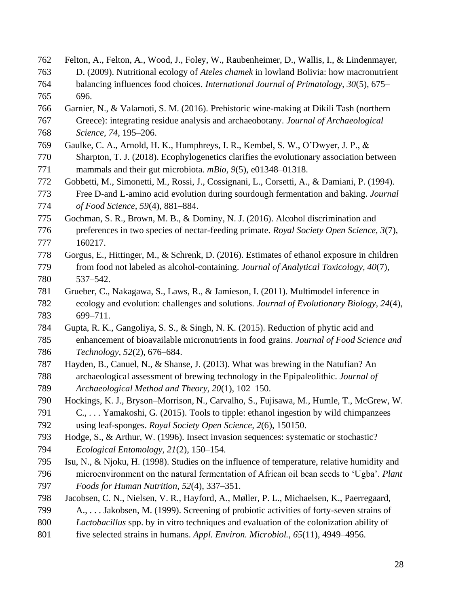Felton, A., Felton, A., Wood, J., Foley, W., Raubenheimer, D., Wallis, I., & Lindenmayer, D. (2009). Nutritional ecology of *Ateles chamek* in lowland Bolivia: how macronutrient balancing influences food choices. *International Journal of Primatology, 30*(5), 675– 696. Garnier, N., & Valamoti, S. M. (2016). Prehistoric wine-making at Dikili Tash (northern Greece): integrating residue analysis and archaeobotany. *Journal of Archaeological Science, 74*, 195–206. Gaulke, C. A., Arnold, H. K., Humphreys, I. R., Kembel, S. W., O'Dwyer, J. P., & Sharpton, T. J. (2018). Ecophylogenetics clarifies the evolutionary association between mammals and their gut microbiota. *mBio, 9*(5), e01348–01318. Gobbetti, M., Simonetti, M., Rossi, J., Cossignani, L., Corsetti, A., & Damiani, P. (1994). Free D‐and L‐amino acid evolution during sourdough fermentation and baking. *Journal of Food Science, 59*(4), 881–884. Gochman, S. R., Brown, M. B., & Dominy, N. J. (2016). Alcohol discrimination and preferences in two species of nectar-feeding primate. *Royal Society Open Science, 3*(7), 160217. Gorgus, E., Hittinger, M., & Schrenk, D. (2016). Estimates of ethanol exposure in children from food not labeled as alcohol-containing. *Journal of Analytical Toxicology, 40*(7), 537–542. Grueber, C., Nakagawa, S., Laws, R., & Jamieson, I. (2011). Multimodel inference in ecology and evolution: challenges and solutions. *Journal of Evolutionary Biology, 24*(4), 699–711. Gupta, R. K., Gangoliya, S. S., & Singh, N. K. (2015). Reduction of phytic acid and enhancement of bioavailable micronutrients in food grains. *Journal of Food Science and Technology, 52*(2), 676–684. Hayden, B., Canuel, N., & Shanse, J. (2013). What was brewing in the Natufian? An archaeological assessment of brewing technology in the Epipaleolithic. *Journal of Archaeological Method and Theory, 20*(1), 102–150. Hockings, K. J., Bryson–Morrison, N., Carvalho, S., Fujisawa, M., Humle, T., McGrew, W. C., . . . Yamakoshi, G. (2015). Tools to tipple: ethanol ingestion by wild chimpanzees using leaf-sponges. *Royal Society Open Science, 2*(6), 150150. Hodge, S., & Arthur, W. (1996). Insect invasion sequences: systematic or stochastic? *Ecological Entomology, 21*(2), 150–154. Isu, N., & Njoku, H. (1998). Studies on the influence of temperature, relative humidity and microenvironment on the natural fermentation of African oil bean seeds to 'Ugba'. *Plant Foods for Human Nutrition, 52*(4), 337–351. Jacobsen, C. N., Nielsen, V. R., Hayford, A., Møller, P. L., Michaelsen, K., Paerregaard, A., . . . Jakobsen, M. (1999). Screening of probiotic activities of forty-seven strains of *Lactobacillus* spp. by in vitro techniques and evaluation of the colonization ability of five selected strains in humans. *Appl. Environ. Microbiol., 65*(11), 4949–4956.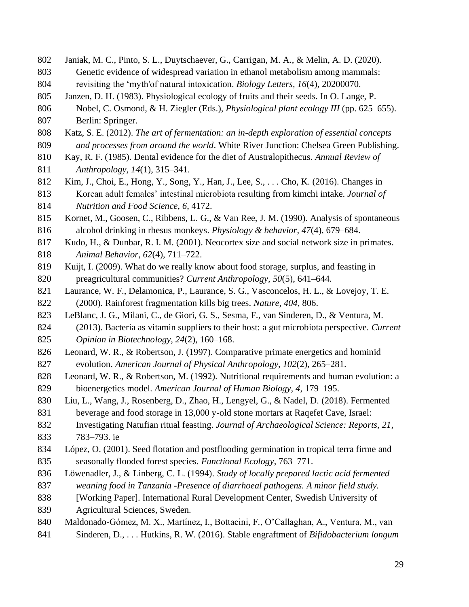- Janiak, M. C., Pinto, S. L., Duytschaever, G., Carrigan, M. A., & Melin, A. D. (2020). Genetic evidence of widespread variation in ethanol metabolism among mammals: revisiting the 'myth'of natural intoxication. *Biology Letters, 16*(4), 20200070. Janzen, D. H. (1983). Physiological ecology of fruits and their seeds. In O. Lange, P. Nobel, C. Osmond, & H. Ziegler (Eds.), *Physiological plant ecology III* (pp. 625–655). Berlin: Springer. Katz, S. E. (2012). *The art of fermentation: an in-depth exploration of essential concepts and processes from around the world*. White River Junction: Chelsea Green Publishing. Kay, R. F. (1985). Dental evidence for the diet of Australopithecus. *Annual Review of Anthropology, 14*(1), 315–341. Kim, J., Choi, E., Hong, Y., Song, Y., Han, J., Lee, S., . . . Cho, K. (2016). Changes in Korean adult females' intestinal microbiota resulting from kimchi intake. *Journal of Nutrition and Food Science, 6*, 4172. Kornet, M., Goosen, C., Ribbens, L. G., & Van Ree, J. M. (1990). Analysis of spontaneous alcohol drinking in rhesus monkeys. *Physiology & behavior, 47*(4), 679–684. Kudo, H., & Dunbar, R. I. M. (2001). Neocortex size and social network size in primates. *Animal Behavior, 62*(4), 711–722. Kuijt, I. (2009). What do we really know about food storage, surplus, and feasting in preagricultural communities? *Current Anthropology, 50*(5), 641–644. 821 Laurance, W. F., Delamonica, P., Laurance, S. G., Vasconcelos, H. L., & Lovejoy, T. E. (2000). Rainforest fragmentation kills big trees. *Nature, 404*, 806. LeBlanc, J. G., Milani, C., de Giori, G. S., Sesma, F., van Sinderen, D., & Ventura, M. (2013). Bacteria as vitamin suppliers to their host: a gut microbiota perspective. *Current Opinion in Biotechnology, 24*(2), 160–168. Leonard, W. R., & Robertson, J. (1997). Comparative primate energetics and hominid evolution. *American Journal of Physical Anthropology, 102*(2), 265–281. Leonard, W. R., & Robertson, M. (1992). Nutritional requirements and human evolution: a bioenergetics model. *American Journal of Human Biology, 4*, 179–195. Liu, L., Wang, J., Rosenberg, D., Zhao, H., Lengyel, G., & Nadel, D. (2018). Fermented beverage and food storage in 13,000 y-old stone mortars at Raqefet Cave, Israel: Investigating Natufian ritual feasting. *Journal of Archaeological Science: Reports, 21*, 783–793. ie López, O. (2001). Seed flotation and postflooding germination in tropical terra firme and seasonally flooded forest species. *Functional Ecology*, 763–771. Löwenadler, J., & Linberg, C. L. (1994). *Study of locally prepared lactic acid fermented weaning food in Tanzania -Presence of diarrhoeal pathogens. A minor field study.*  838 [Working Paper]. International Rural Development Center, Swedish University of Agricultural Sciences, Sweden. Maldonado-Gómez, M. X., Martínez, I., Bottacini, F., O'Callaghan, A., Ventura, M., van
	- Sinderen, D., . . . Hutkins, R. W. (2016). Stable engraftment of *Bifidobacterium longum*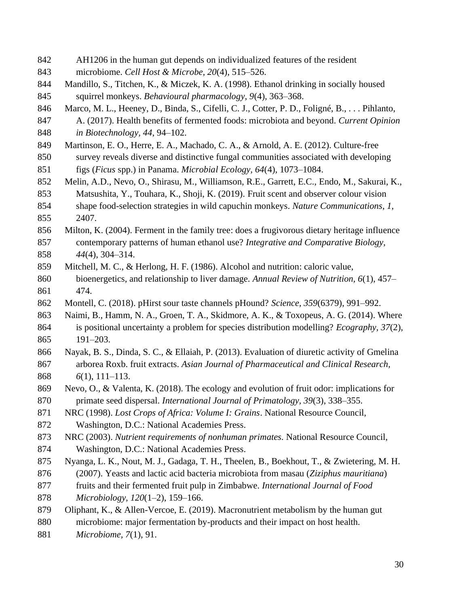- AH1206 in the human gut depends on individualized features of the resident
- microbiome. *Cell Host & Microbe, 20*(4), 515–526.
- Mandillo, S., Titchen, K., & Miczek, K. A. (1998). Ethanol drinking in socially housed squirrel monkeys. *Behavioural pharmacology, 9*(4), 363–368.
- Marco, M. L., Heeney, D., Binda, S., Cifelli, C. J., Cotter, P. D., Foligné, B., . . . Pihlanto,
- A. (2017). Health benefits of fermented foods: microbiota and beyond. *Current Opinion in Biotechnology, 44*, 94–102.
- Martinson, E. O., Herre, E. A., Machado, C. A., & Arnold, A. E. (2012). Culture-free
- survey reveals diverse and distinctive fungal communities associated with developing
- figs (*Ficus* spp.) in Panama. *Microbial Ecology, 64*(4), 1073–1084.
- Melin, A.D., Nevo, O., Shirasu, M., Williamson, R.E., Garrett, E.C., Endo, M., Sakurai, K., Matsushita, Y., Touhara, K., Shoji, K. (2019). Fruit scent and observer colour vision shape food-selection strategies in wild capuchin monkeys. *Nature Communications, 1,*
- 2407.
- Milton, K. (2004). Ferment in the family tree: does a frugivorous dietary heritage influence contemporary patterns of human ethanol use? *Integrative and Comparative Biology, 44*(4), 304–314.
- Mitchell, M. C., & Herlong, H. F. (1986). Alcohol and nutrition: caloric value,
- bioenergetics, and relationship to liver damage. *Annual Review of Nutrition, 6*(1), 457– 474.
- Montell, C. (2018). pHirst sour taste channels pHound? *Science, 359*(6379), 991–992.
- Naimi, B., Hamm, N. A., Groen, T. A., Skidmore, A. K., & Toxopeus, A. G. (2014). Where is positional uncertainty a problem for species distribution modelling? *Ecography, 37*(2), 191–203.
- Nayak, B. S., Dinda, S. C., & Ellaiah, P. (2013). Evaluation of diuretic activity of Gmelina arborea Roxb. fruit extracts. *Asian Journal of Pharmaceutical and Clinical Research, 6*(1), 111–113.
- Nevo, O., & Valenta, K. (2018). The ecology and evolution of fruit odor: implications for primate seed dispersal. *International Journal of Primatology, 39*(3), 338–355.
- NRC (1998). *Lost Crops of Africa: Volume I: Grains*. National Resource Council,
- Washington, D.C.: National Academies Press.
- NRC (2003). *Nutrient requirements of nonhuman primates.* National Resource Council,
- Washington, D.C.: National Academies Press.
- Nyanga, L. K., Nout, M. J., Gadaga, T. H., Theelen, B., Boekhout, T., & Zwietering, M. H.
- (2007). Yeasts and lactic acid bacteria microbiota from masau (*Ziziphus mauritiana*)
- fruits and their fermented fruit pulp in Zimbabwe. *International Journal of Food*
- *Microbiology, 120*(1–2), 159–166.
- Oliphant, K., & Allen-Vercoe, E. (2019). Macronutrient metabolism by the human gut
- microbiome: major fermentation by-products and their impact on host health.
- *Microbiome, 7*(1), 91.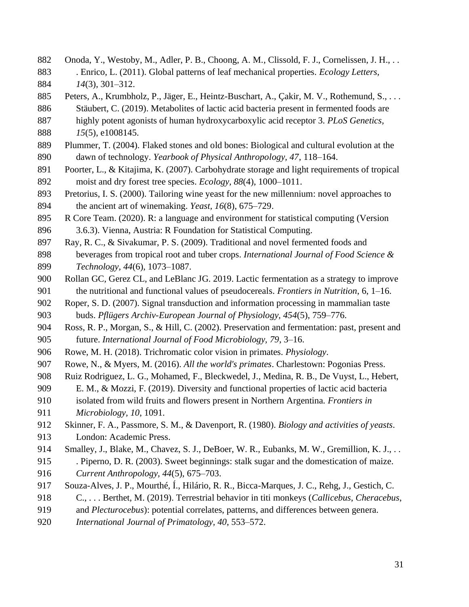Onoda, Y., Westoby, M., Adler, P. B., Choong, A. M., Clissold, F. J., Cornelissen, J. H., . . . Enrico, L. (2011). Global patterns of leaf mechanical properties. *Ecology Letters, 14*(3), 301–312. Peters, A., Krumbholz, P., Jäger, E., Heintz-Buschart, A., Çakir, M. V., Rothemund, S., . . . Stäubert, C. (2019). Metabolites of lactic acid bacteria present in fermented foods are highly potent agonists of human hydroxycarboxylic acid receptor 3. *PLoS Genetics, 15*(5), e1008145. Plummer, T. (2004). Flaked stones and old bones: Biological and cultural evolution at the dawn of technology. *Yearbook of Physical Anthropology, 47*, 118–164. Poorter, L., & Kitajima, K. (2007). Carbohydrate storage and light requirements of tropical moist and dry forest tree species. *Ecology, 88*(4), 1000–1011. Pretorius, I. S. (2000). Tailoring wine yeast for the new millennium: novel approaches to the ancient art of winemaking. *Yeast, 16*(8), 675–729. R Core Team. (2020). R: a language and environment for statistical computing (Version 3.6.3). Vienna, Austria: R Foundation for Statistical Computing. Ray, R. C., & Sivakumar, P. S. (2009). Traditional and novel fermented foods and beverages from tropical root and tuber crops. *International Journal of Food Science & Technology, 44*(6), 1073–1087. Rollan GC, Gerez CL, and LeBlanc JG. 2019. Lactic fermentation as a strategy to improve the nutritional and functional values of pseudocereals. *Frontiers in Nutrition*, 6, 1–16. Roper, S. D. (2007). Signal transduction and information processing in mammalian taste buds. *Pflügers Archiv-European Journal of Physiology, 454*(5), 759–776. Ross, R. P., Morgan, S., & Hill, C. (2002). Preservation and fermentation: past, present and future. *International Journal of Food Microbiology, 79*, 3–16. Rowe, M. H. (2018). Trichromatic color vision in primates. *Physiology*. Rowe, N., & Myers, M. (2016). *All the world's primates*. Charlestown: Pogonias Press. Ruiz Rodriguez, L. G., Mohamed, F., Bleckwedel, J., Medina, R. B., De Vuyst, L., Hebert, E. M., & Mozzi, F. (2019). Diversity and functional properties of lactic acid bacteria isolated from wild fruits and flowers present in Northern Argentina. *Frontiers in Microbiology, 10*, 1091. Skinner, F. A., Passmore, S. M., & Davenport, R. (1980). *Biology and activities of yeasts*. London: Academic Press. 914 Smalley, J., Blake, M., Chavez, S. J., DeBoer, W. R., Eubanks, M. W., Gremillion, K. J., .. . Piperno, D. R. (2003). Sweet beginnings: stalk sugar and the domestication of maize. *Current Anthropology, 44*(5), 675–703. Souza-Alves, J. P., Mourthé, Í., Hilário, R. R., Bicca-Marques, J. C., Rehg, J., Gestich, C. C., . . . Berthet, M. (2019). Terrestrial behavior in titi monkeys (*Callicebus*, *Cheracebus*, and *Plecturocebus*): potential correlates, patterns, and differences between genera. *International Journal of Primatology, 40*, 553–572.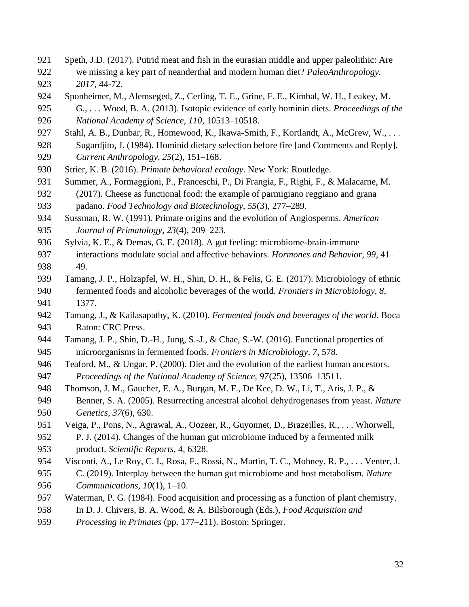- Speth, J.D. (2017). Putrid meat and fish in the eurasian middle and upper paleolithic: Are
- we missing a key part of neanderthal and modern human diet? *PaleoAnthropology. 2017*, 44-72.
- Sponheimer, M., Alemseged, Z., Cerling, T. E., Grine, F. E., Kimbal, W. H., Leakey, M.
- G., . . . Wood, B. A. (2013). Isotopic evidence of early hominin diets. *Proceedings of the National Academy of Science, 110*, 10513–10518.
- 927 Stahl, A. B., Dunbar, R., Homewood, K., Ikawa-Smith, F., Kortlandt, A., McGrew, W., ...
- Sugardjito, J. (1984). Hominid dietary selection before fire [and Comments and Reply]. *Current Anthropology, 25*(2), 151–168.
- Strier, K. B. (2016). *Primate behavioral ecology*. New York: Routledge.
- Summer, A., Formaggioni, P., Franceschi, P., Di Frangia, F., Righi, F., & Malacarne, M.
- (2017). Cheese as functional food: the example of parmigiano reggiano and grana padano. *Food Technology and Biotechnology, 55*(3), 277–289.
- Sussman, R. W. (1991). Primate origins and the evolution of Angiosperms. *American Journal of Primatology, 23*(4), 209–223.
- Sylvia, K. E., & Demas, G. E. (2018). A gut feeling: microbiome-brain-immune interactions modulate social and affective behaviors. *Hormones and Behavior, 99*, 41– 49.
- Tamang, J. P., Holzapfel, W. H., Shin, D. H., & Felis, G. E. (2017). Microbiology of ethnic fermented foods and alcoholic beverages of the world. *Frontiers in Microbiology, 8*, 1377.
- Tamang, J., & Kailasapathy, K. (2010). *Fermented foods and beverages of the world*. Boca Raton: CRC Press.
- Tamang, J. P., Shin, D.-H., Jung, S.-J., & Chae, S.-W. (2016). Functional properties of
- microorganisms in fermented foods. *Frontiers in Microbiology, 7*, 578.
- 946 Teaford, M., & Ungar, P. (2000). Diet and the evolution of the earliest human ancestors. *Proceedings of the National Academy of Science, 97*(25), 13506–13511.
- Thomson, J. M., Gaucher, E. A., Burgan, M. F., De Kee, D. W., Li, T., Aris, J. P., &
- Benner, S. A. (2005). Resurrecting ancestral alcohol dehydrogenases from yeast. *Nature Genetics, 37*(6), 630.
- Veiga, P., Pons, N., Agrawal, A., Oozeer, R., Guyonnet, D., Brazeilles, R., . . . Whorwell,
- P. J. (2014). Changes of the human gut microbiome induced by a fermented milk
- product. *Scientific Reports, 4*, 6328.
- Visconti, A., Le Roy, C. I., Rosa, F., Rossi, N., Martin, T. C., Mohney, R. P., . . . Venter, J.
- C. (2019). Interplay between the human gut microbiome and host metabolism. *Nature Communications, 10*(1), 1–10.
- Waterman, P. G. (1984). Food acquisition and processing as a function of plant chemistry.
- In D. J. Chivers, B. A. Wood, & A. Bilsborough (Eds.), *Food Acquisition and*
- *Processing in Primates* (pp. 177–211). Boston: Springer.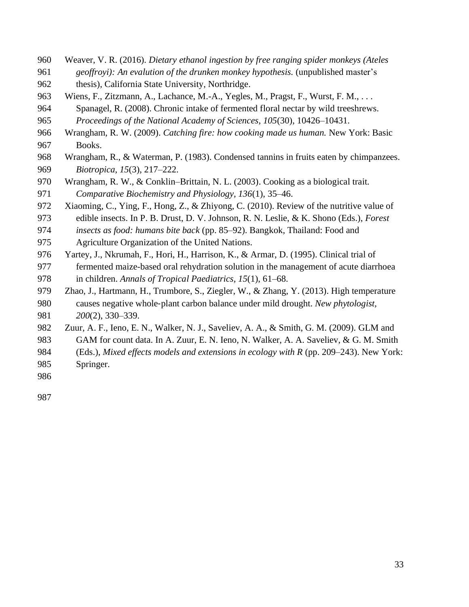- Weaver, V. R. (2016). *Dietary ethanol ingestion by free ranging spider monkeys (Ateles*
- *geoffroyi): An evalution of the drunken monkey hypothesis.* (unpublished master's
- thesis), California State University, Northridge.
- Wiens, F., Zitzmann, A., Lachance, M.-A., Yegles, M., Pragst, F., Wurst, F. M., . . .
- Spanagel, R. (2008). Chronic intake of fermented floral nectar by wild treeshrews.
- *Proceedings of the National Academy of Sciences, 105*(30), 10426–10431.
- Wrangham, R. W. (2009). *Catching fire: how cooking made us human.* New York: Basic
- Books.
- Wrangham, R., & Waterman, P. (1983). Condensed tannins in fruits eaten by chimpanzees. *Biotropica*, *15*(3), 217–222.
- Wrangham, R. W., & Conklin–Brittain, N. L. (2003). Cooking as a biological trait. *Comparative Biochemistry and Physiology, 136*(1), 35–46.
- Xiaoming, C., Ying, F., Hong, Z., & Zhiyong, C. (2010). Review of the nutritive value of
- edible insects. In P. B. Drust, D. V. Johnson, R. N. Leslie, & K. Shono (Eds.), *Forest insects as food: humans bite back* (pp. 85–92). Bangkok, Thailand: Food and
- Agriculture Organization of the United Nations.
- Yartey, J., Nkrumah, F., Hori, H., Harrison, K., & Armar, D. (1995). Clinical trial of fermented maize-based oral rehydration solution in the management of acute diarrhoea in children. *Annals of Tropical Paediatrics, 15*(1), 61–68.
- Zhao, J., Hartmann, H., Trumbore, S., Ziegler, W., & Zhang, Y. (2013). High temperature causes negative whole‐plant carbon balance under mild drought. *New phytologist, 200*(2), 330–339.
- Zuur, A. F., Ieno, E. N., Walker, N. J., Saveliev, A. A., & Smith, G. M. (2009). GLM and
- GAM for count data. In A. Zuur, E. N. Ieno, N. Walker, A. A. Saveliev, & G. M. Smith
- (Eds.), *Mixed effects models and extensions in ecology with R* (pp. 209–243). New York: Springer.
-